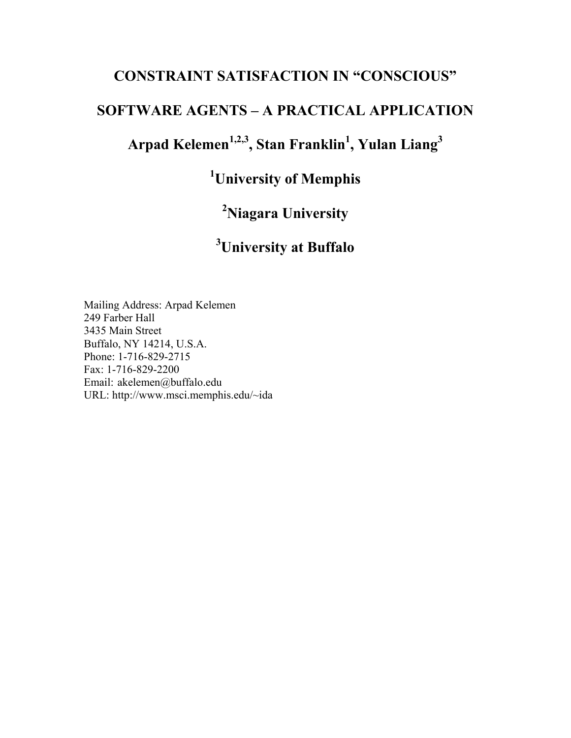## **CONSTRAINT SATISFACTION IN "CONSCIOUS"**

## **SOFTWARE AGENTS – A PRACTICAL APPLICATION**

**Arpad Kelemen1,2,3, Stan Franklin1 , Yulan Liang<sup>3</sup>**

**1 University of Memphis** 

**2 Niagara University** 

# **3 University at Buffalo**

Mailing Address: Arpad Kelemen 249 Farber Hall 3435 Main Street Buffalo, NY 14214, U.S.A. Phone: 1-716-829-2715 Fax: 1-716-829-2200 Email: akelemen@buffalo.edu URL: http://www.msci.memphis.edu/~ida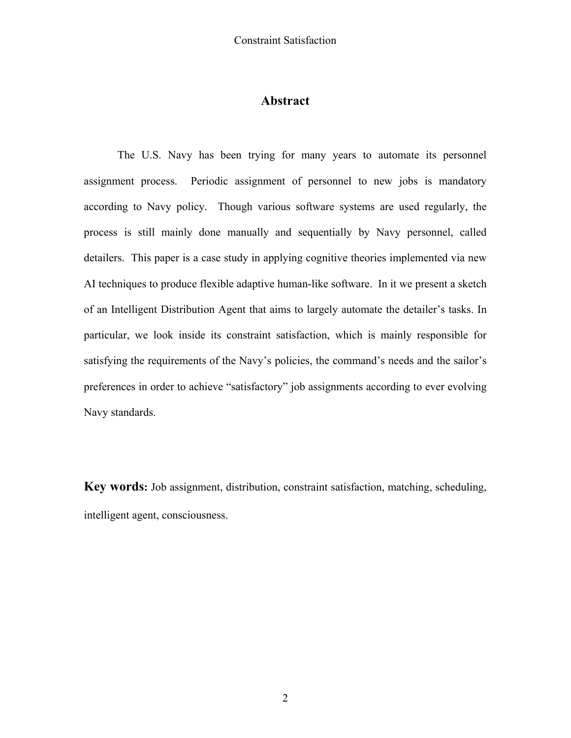## **Abstract**

The U.S. Navy has been trying for many years to automate its personnel assignment process. Periodic assignment of personnel to new jobs is mandatory according to Navy policy. Though various software systems are used regularly, the process is still mainly done manually and sequentially by Navy personnel, called detailers. This paper is a case study in applying cognitive theories implemented via new AI techniques to produce flexible adaptive human-like software. In it we present a sketch of an Intelligent Distribution Agent that aims to largely automate the detailer's tasks. In particular, we look inside its constraint satisfaction, which is mainly responsible for satisfying the requirements of the Navy's policies, the command's needs and the sailor's preferences in order to achieve "satisfactory" job assignments according to ever evolving Navy standards.

**Key words:** Job assignment, distribution, constraint satisfaction, matching, scheduling, intelligent agent, consciousness.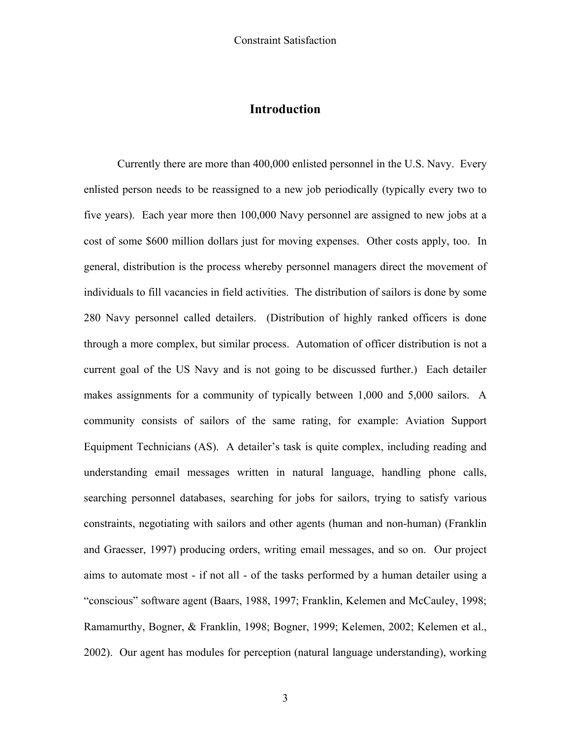## **Introduction**

Currently there are more than 400,000 enlisted personnel in the U.S. Navy. Every enlisted person needs to be reassigned to a new job periodically (typically every two to five years). Each year more then 100,000 Navy personnel are assigned to new jobs at a cost of some \$600 million dollars just for moving expenses. Other costs apply, too. In general, distribution is the process whereby personnel managers direct the movement of individuals to fill vacancies in field activities. The distribution of sailors is done by some 280 Navy personnel called detailers. (Distribution of highly ranked officers is done through a more complex, but similar process. Automation of officer distribution is not a current goal of the US Navy and is not going to be discussed further.) Each detailer makes assignments for a community of typically between 1,000 and 5,000 sailors. A community consists of sailors of the same rating, for example: Aviation Support Equipment Technicians (AS). A detailer's task is quite complex, including reading and understanding email messages written in natural language, handling phone calls, searching personnel databases, searching for jobs for sailors, trying to satisfy various constraints, negotiating with sailors and other agents (human and non-human) (Franklin and Graesser, 1997) producing orders, writing email messages, and so on. Our project aims to automate most - if not all - of the tasks performed by a human detailer using a "conscious" software agent (Baars, 1988, 1997; Franklin, Kelemen and McCauley, 1998; Ramamurthy, Bogner, & Franklin, 1998; Bogner, 1999; Kelemen, 2002; Kelemen et al., 2002). Our agent has modules for perception (natural language understanding), working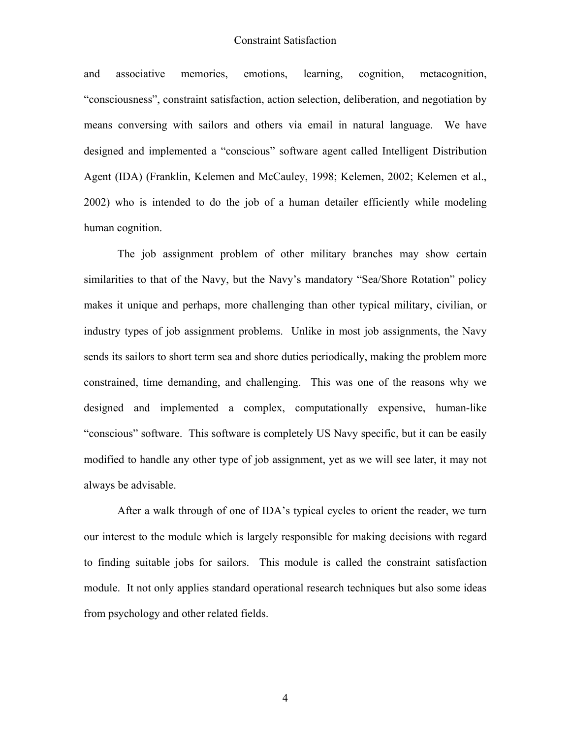and associative memories, emotions, learning, cognition, metacognition, "consciousness", constraint satisfaction, action selection, deliberation, and negotiation by means conversing with sailors and others via email in natural language. We have designed and implemented a "conscious" software agent called Intelligent Distribution Agent (IDA) (Franklin, Kelemen and McCauley, 1998; Kelemen, 2002; Kelemen et al., 2002) who is intended to do the job of a human detailer efficiently while modeling human cognition.

The job assignment problem of other military branches may show certain similarities to that of the Navy, but the Navy's mandatory "Sea/Shore Rotation" policy makes it unique and perhaps, more challenging than other typical military, civilian, or industry types of job assignment problems. Unlike in most job assignments, the Navy sends its sailors to short term sea and shore duties periodically, making the problem more constrained, time demanding, and challenging. This was one of the reasons why we designed and implemented a complex, computationally expensive, human-like "conscious" software. This software is completely US Navy specific, but it can be easily modified to handle any other type of job assignment, yet as we will see later, it may not always be advisable.

After a walk through of one of IDA's typical cycles to orient the reader, we turn our interest to the module which is largely responsible for making decisions with regard to finding suitable jobs for sailors. This module is called the constraint satisfaction module. It not only applies standard operational research techniques but also some ideas from psychology and other related fields.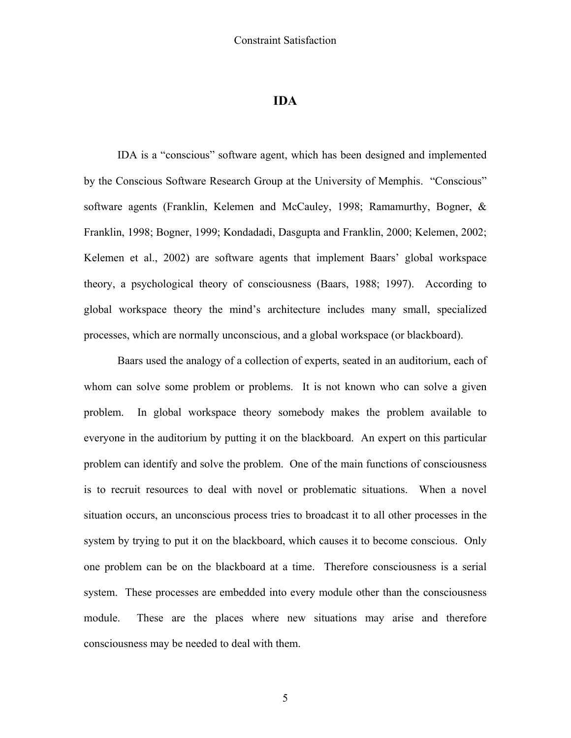#### **IDA**

IDA is a "conscious" software agent, which has been designed and implemented by the Conscious Software Research Group at the University of Memphis. "Conscious" software agents (Franklin, Kelemen and McCauley, 1998; Ramamurthy, Bogner, & Franklin, 1998; Bogner, 1999; Kondadadi, Dasgupta and Franklin, 2000; Kelemen, 2002; Kelemen et al., 2002) are software agents that implement Baars' global workspace theory, a psychological theory of consciousness (Baars, 1988; 1997). According to global workspace theory the mind's architecture includes many small, specialized processes, which are normally unconscious, and a global workspace (or blackboard).

Baars used the analogy of a collection of experts, seated in an auditorium, each of whom can solve some problem or problems. It is not known who can solve a given problem. In global workspace theory somebody makes the problem available to everyone in the auditorium by putting it on the blackboard. An expert on this particular problem can identify and solve the problem. One of the main functions of consciousness is to recruit resources to deal with novel or problematic situations. When a novel situation occurs, an unconscious process tries to broadcast it to all other processes in the system by trying to put it on the blackboard, which causes it to become conscious. Only one problem can be on the blackboard at a time. Therefore consciousness is a serial system. These processes are embedded into every module other than the consciousness module. These are the places where new situations may arise and therefore consciousness may be needed to deal with them.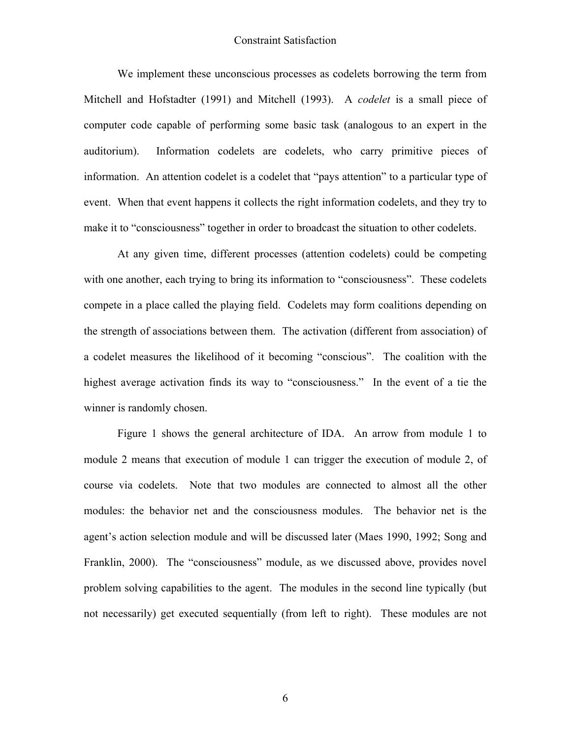We implement these unconscious processes as codelets borrowing the term from Mitchell and Hofstadter (1991) and Mitchell (1993). A *codelet* is a small piece of computer code capable of performing some basic task (analogous to an expert in the auditorium). Information codelets are codelets, who carry primitive pieces of information. An attention codelet is a codelet that "pays attention" to a particular type of event. When that event happens it collects the right information codelets, and they try to make it to "consciousness" together in order to broadcast the situation to other codelets.

At any given time, different processes (attention codelets) could be competing with one another, each trying to bring its information to "consciousness". These codelets compete in a place called the playing field. Codelets may form coalitions depending on the strength of associations between them. The activation (different from association) of a codelet measures the likelihood of it becoming "conscious". The coalition with the highest average activation finds its way to "consciousness." In the event of a tie the winner is randomly chosen.

Figure 1 shows the general architecture of IDA. An arrow from module 1 to module 2 means that execution of module 1 can trigger the execution of module 2, of course via codelets. Note that two modules are connected to almost all the other modules: the behavior net and the consciousness modules. The behavior net is the agent's action selection module and will be discussed later (Maes 1990, 1992; Song and Franklin, 2000). The "consciousness" module, as we discussed above, provides novel problem solving capabilities to the agent. The modules in the second line typically (but not necessarily) get executed sequentially (from left to right). These modules are not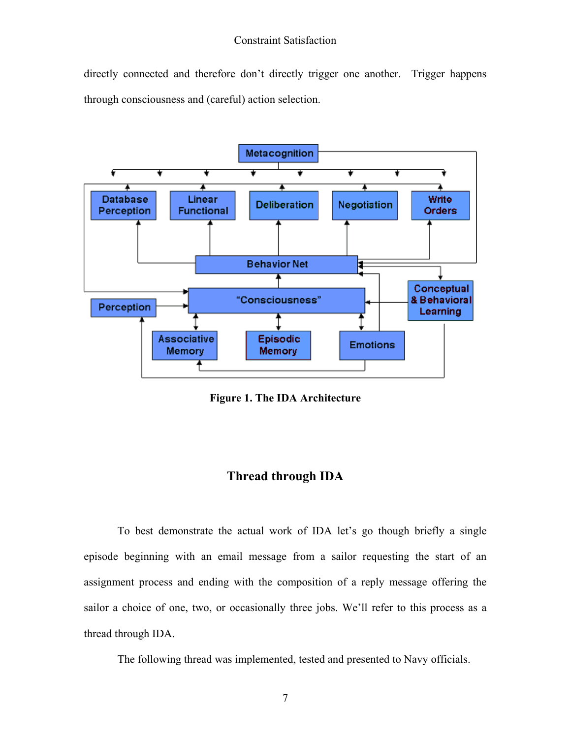directly connected and therefore don't directly trigger one another. Trigger happens through consciousness and (careful) action selection.



**Figure 1. The IDA Architecture**

## **Thread through IDA**

To best demonstrate the actual work of IDA let's go though briefly a single episode beginning with an email message from a sailor requesting the start of an assignment process and ending with the composition of a reply message offering the sailor a choice of one, two, or occasionally three jobs. We'll refer to this process as a thread through IDA.

The following thread was implemented, tested and presented to Navy officials.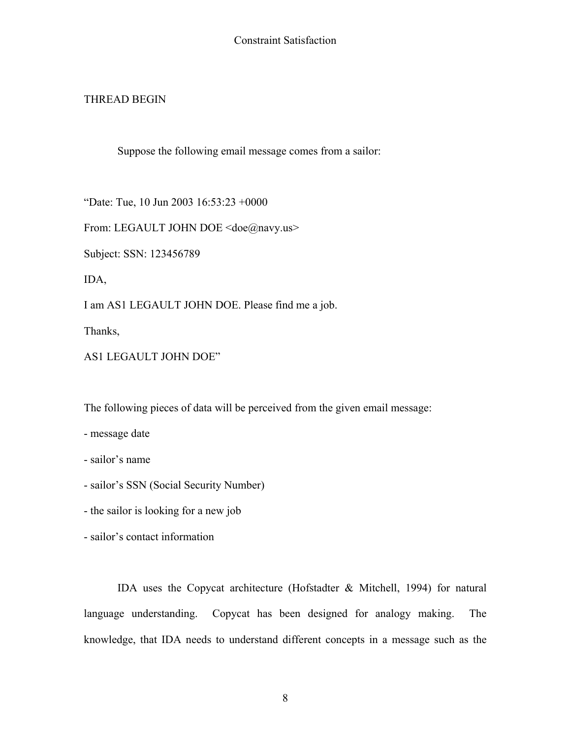## THREAD BEGIN

Suppose the following email message comes from a sailor:

"Date: Tue, 10 Jun 2003 16:53:23 +0000

From: LEGAULT JOHN DOE <doe@navy.us>

Subject: SSN: 123456789

IDA,

I am AS1 LEGAULT JOHN DOE. Please find me a job.

Thanks,

AS1 LEGAULT JOHN DOE"

The following pieces of data will be perceived from the given email message:

- message date

- sailor's name

- sailor's SSN (Social Security Number)

- the sailor is looking for a new job

- sailor's contact information

IDA uses the Copycat architecture (Hofstadter & Mitchell, 1994) for natural language understanding. Copycat has been designed for analogy making. The knowledge, that IDA needs to understand different concepts in a message such as the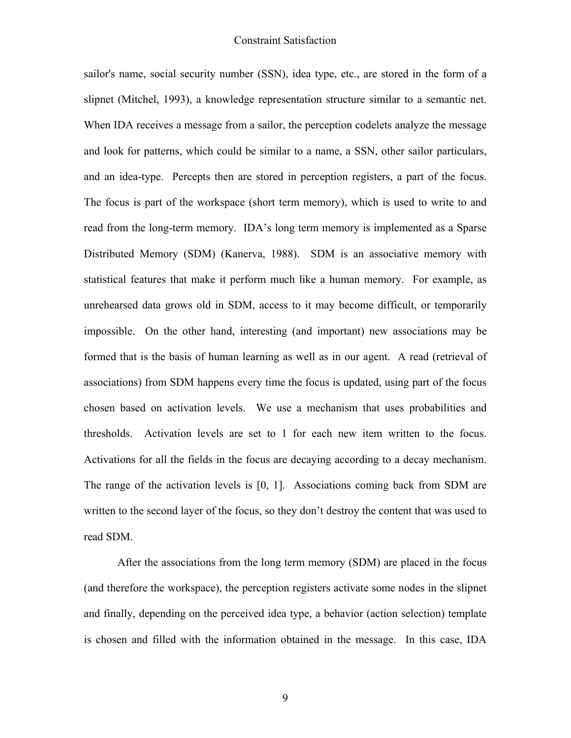sailor's name, social security number (SSN), idea type, etc., are stored in the form of a slipnet (Mitchel, 1993), a knowledge representation structure similar to a semantic net. When IDA receives a message from a sailor, the perception codelets analyze the message and look for patterns, which could be similar to a name, a SSN, other sailor particulars, and an idea-type. Percepts then are stored in perception registers, a part of the focus. The focus is part of the workspace (short term memory), which is used to write to and read from the long-term memory. IDA's long term memory is implemented as a Sparse Distributed Memory (SDM) (Kanerva, 1988). SDM is an associative memory with statistical features that make it perform much like a human memory. For example, as unrehearsed data grows old in SDM, access to it may become difficult, or temporarily impossible. On the other hand, interesting (and important) new associations may be formed that is the basis of human learning as well as in our agent. A read (retrieval of associations) from SDM happens every time the focus is updated, using part of the focus chosen based on activation levels. We use a mechanism that uses probabilities and thresholds. Activation levels are set to 1 for each new item written to the focus. Activations for all the fields in the focus are decaying according to a decay mechanism. The range of the activation levels is [0, 1]. Associations coming back from SDM are written to the second layer of the focus, so they don't destroy the content that was used to read SDM.

After the associations from the long term memory (SDM) are placed in the focus (and therefore the workspace), the perception registers activate some nodes in the slipnet and finally, depending on the perceived idea type, a behavior (action selection) template is chosen and filled with the information obtained in the message. In this case, IDA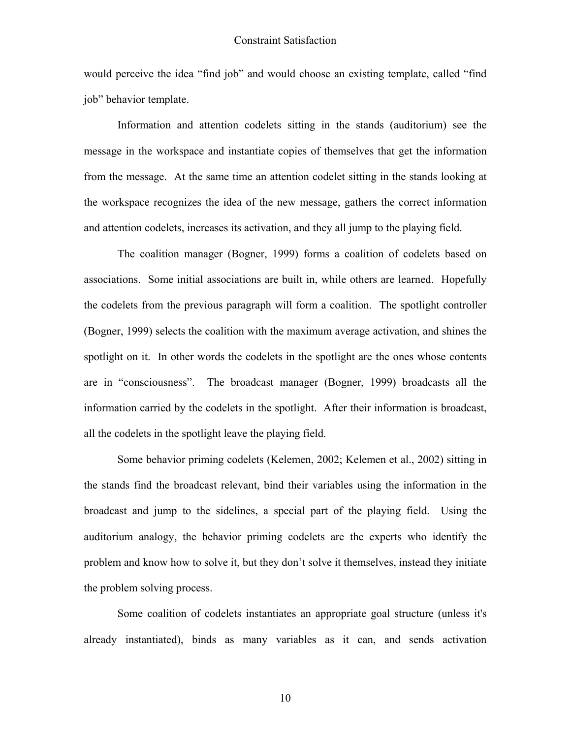would perceive the idea "find job" and would choose an existing template, called "find job" behavior template.

Information and attention codelets sitting in the stands (auditorium) see the message in the workspace and instantiate copies of themselves that get the information from the message. At the same time an attention codelet sitting in the stands looking at the workspace recognizes the idea of the new message, gathers the correct information and attention codelets, increases its activation, and they all jump to the playing field.

The coalition manager (Bogner, 1999) forms a coalition of codelets based on associations. Some initial associations are built in, while others are learned. Hopefully the codelets from the previous paragraph will form a coalition. The spotlight controller (Bogner, 1999) selects the coalition with the maximum average activation, and shines the spotlight on it. In other words the codelets in the spotlight are the ones whose contents are in "consciousness". The broadcast manager (Bogner, 1999) broadcasts all the information carried by the codelets in the spotlight. After their information is broadcast, all the codelets in the spotlight leave the playing field.

Some behavior priming codelets (Kelemen, 2002; Kelemen et al., 2002) sitting in the stands find the broadcast relevant, bind their variables using the information in the broadcast and jump to the sidelines, a special part of the playing field. Using the auditorium analogy, the behavior priming codelets are the experts who identify the problem and know how to solve it, but they don't solve it themselves, instead they initiate the problem solving process.

Some coalition of codelets instantiates an appropriate goal structure (unless it's already instantiated), binds as many variables as it can, and sends activation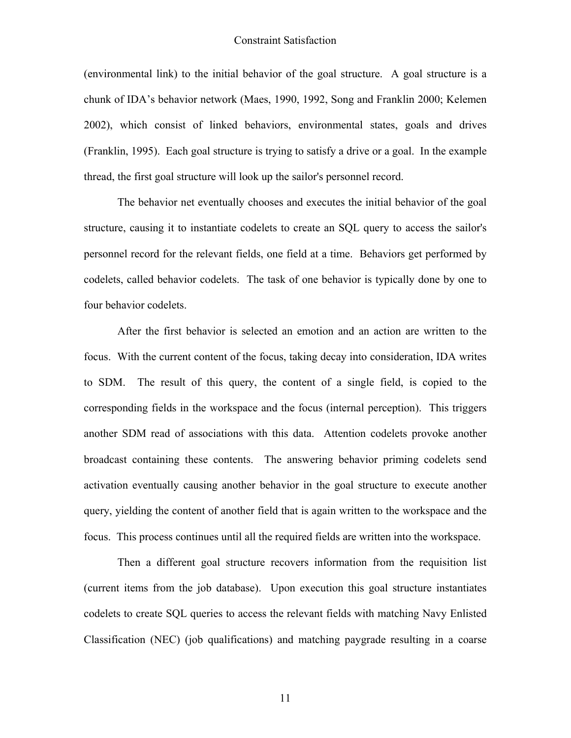(environmental link) to the initial behavior of the goal structure. A goal structure is a chunk of IDA's behavior network (Maes, 1990, 1992, Song and Franklin 2000; Kelemen 2002), which consist of linked behaviors, environmental states, goals and drives (Franklin, 1995). Each goal structure is trying to satisfy a drive or a goal. In the example thread, the first goal structure will look up the sailor's personnel record.

The behavior net eventually chooses and executes the initial behavior of the goal structure, causing it to instantiate codelets to create an SQL query to access the sailor's personnel record for the relevant fields, one field at a time. Behaviors get performed by codelets, called behavior codelets. The task of one behavior is typically done by one to four behavior codelets.

After the first behavior is selected an emotion and an action are written to the focus. With the current content of the focus, taking decay into consideration, IDA writes to SDM. The result of this query, the content of a single field, is copied to the corresponding fields in the workspace and the focus (internal perception). This triggers another SDM read of associations with this data. Attention codelets provoke another broadcast containing these contents. The answering behavior priming codelets send activation eventually causing another behavior in the goal structure to execute another query, yielding the content of another field that is again written to the workspace and the focus. This process continues until all the required fields are written into the workspace.

Then a different goal structure recovers information from the requisition list (current items from the job database). Upon execution this goal structure instantiates codelets to create SQL queries to access the relevant fields with matching Navy Enlisted Classification (NEC) (job qualifications) and matching paygrade resulting in a coarse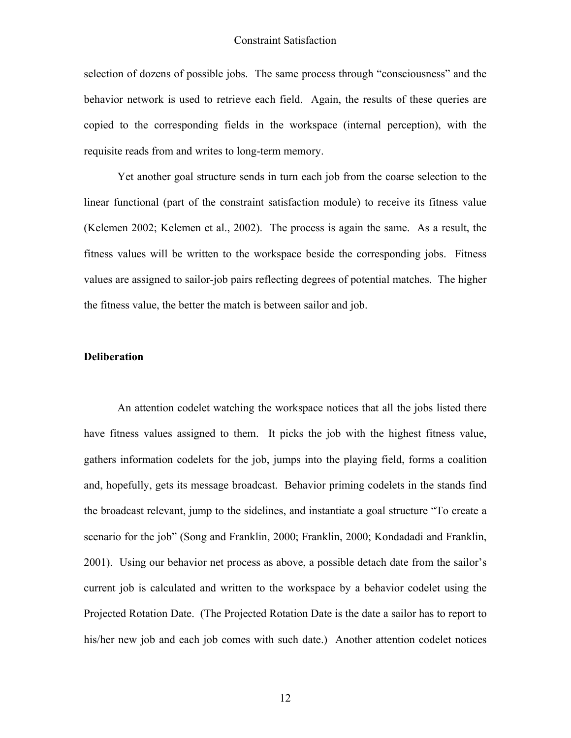selection of dozens of possible jobs. The same process through "consciousness" and the behavior network is used to retrieve each field. Again, the results of these queries are copied to the corresponding fields in the workspace (internal perception), with the requisite reads from and writes to long-term memory.

Yet another goal structure sends in turn each job from the coarse selection to the linear functional (part of the constraint satisfaction module) to receive its fitness value (Kelemen 2002; Kelemen et al., 2002). The process is again the same. As a result, the fitness values will be written to the workspace beside the corresponding jobs. Fitness values are assigned to sailor-job pairs reflecting degrees of potential matches. The higher the fitness value, the better the match is between sailor and job.

#### **Deliberation**

An attention codelet watching the workspace notices that all the jobs listed there have fitness values assigned to them. It picks the job with the highest fitness value, gathers information codelets for the job, jumps into the playing field, forms a coalition and, hopefully, gets its message broadcast. Behavior priming codelets in the stands find the broadcast relevant, jump to the sidelines, and instantiate a goal structure "To create a scenario for the job" (Song and Franklin, 2000; Franklin, 2000; Kondadadi and Franklin, 2001). Using our behavior net process as above, a possible detach date from the sailor's current job is calculated and written to the workspace by a behavior codelet using the Projected Rotation Date. (The Projected Rotation Date is the date a sailor has to report to his/her new job and each job comes with such date.) Another attention codelet notices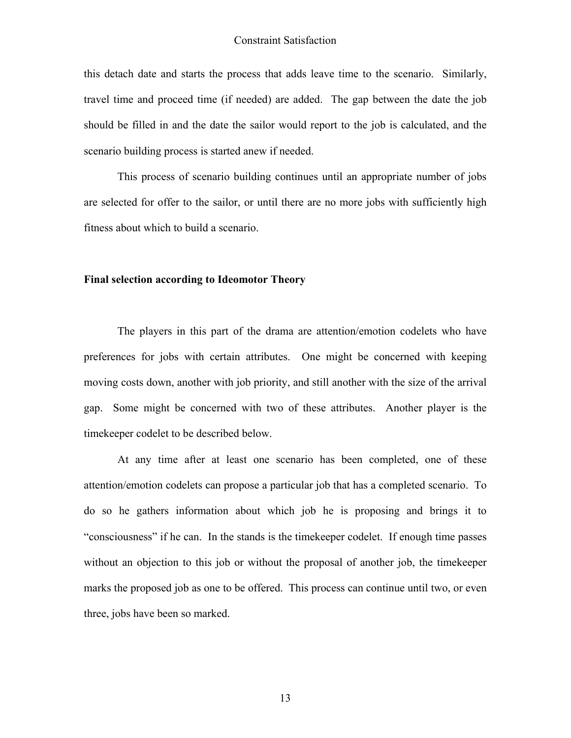this detach date and starts the process that adds leave time to the scenario. Similarly, travel time and proceed time (if needed) are added. The gap between the date the job should be filled in and the date the sailor would report to the job is calculated, and the scenario building process is started anew if needed.

This process of scenario building continues until an appropriate number of jobs are selected for offer to the sailor, or until there are no more jobs with sufficiently high fitness about which to build a scenario.

#### **Final selection according to Ideomotor Theory**

The players in this part of the drama are attention/emotion codelets who have preferences for jobs with certain attributes. One might be concerned with keeping moving costs down, another with job priority, and still another with the size of the arrival gap. Some might be concerned with two of these attributes. Another player is the timekeeper codelet to be described below.

At any time after at least one scenario has been completed, one of these attention/emotion codelets can propose a particular job that has a completed scenario. To do so he gathers information about which job he is proposing and brings it to "consciousness" if he can. In the stands is the timekeeper codelet. If enough time passes without an objection to this job or without the proposal of another job, the timekeeper marks the proposed job as one to be offered. This process can continue until two, or even three, jobs have been so marked.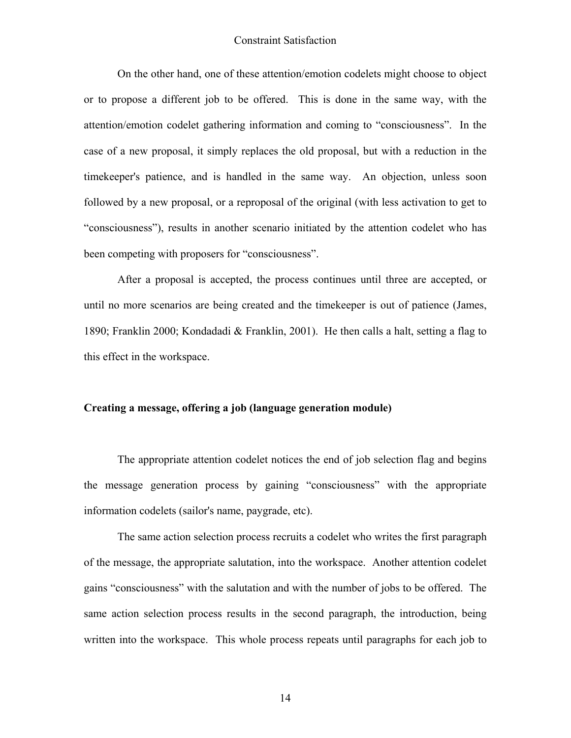On the other hand, one of these attention/emotion codelets might choose to object or to propose a different job to be offered. This is done in the same way, with the attention/emotion codelet gathering information and coming to "consciousness". In the case of a new proposal, it simply replaces the old proposal, but with a reduction in the timekeeper's patience, and is handled in the same way. An objection, unless soon followed by a new proposal, or a reproposal of the original (with less activation to get to "consciousness"), results in another scenario initiated by the attention codelet who has been competing with proposers for "consciousness".

After a proposal is accepted, the process continues until three are accepted, or until no more scenarios are being created and the timekeeper is out of patience (James, 1890; Franklin 2000; Kondadadi & Franklin, 2001). He then calls a halt, setting a flag to this effect in the workspace.

#### **Creating a message, offering a job (language generation module)**

The appropriate attention codelet notices the end of job selection flag and begins the message generation process by gaining "consciousness" with the appropriate information codelets (sailor's name, paygrade, etc).

The same action selection process recruits a codelet who writes the first paragraph of the message, the appropriate salutation, into the workspace. Another attention codelet gains "consciousness" with the salutation and with the number of jobs to be offered. The same action selection process results in the second paragraph, the introduction, being written into the workspace. This whole process repeats until paragraphs for each job to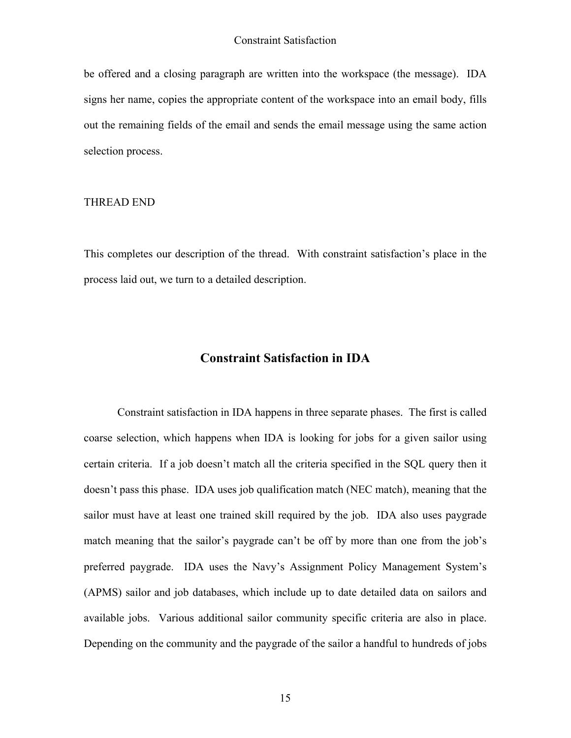be offered and a closing paragraph are written into the workspace (the message). IDA signs her name, copies the appropriate content of the workspace into an email body, fills out the remaining fields of the email and sends the email message using the same action selection process.

#### THREAD END

This completes our description of the thread. With constraint satisfaction's place in the process laid out, we turn to a detailed description.

## **Constraint Satisfaction in IDA**

Constraint satisfaction in IDA happens in three separate phases. The first is called coarse selection, which happens when IDA is looking for jobs for a given sailor using certain criteria. If a job doesn't match all the criteria specified in the SQL query then it doesn't pass this phase. IDA uses job qualification match (NEC match), meaning that the sailor must have at least one trained skill required by the job. IDA also uses paygrade match meaning that the sailor's paygrade can't be off by more than one from the job's preferred paygrade. IDA uses the Navy's Assignment Policy Management System's (APMS) sailor and job databases, which include up to date detailed data on sailors and available jobs. Various additional sailor community specific criteria are also in place. Depending on the community and the paygrade of the sailor a handful to hundreds of jobs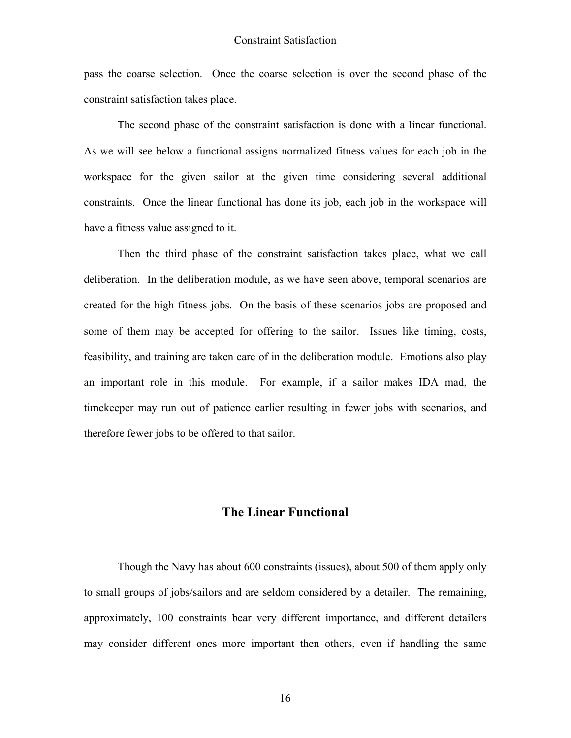pass the coarse selection. Once the coarse selection is over the second phase of the constraint satisfaction takes place.

The second phase of the constraint satisfaction is done with a linear functional. As we will see below a functional assigns normalized fitness values for each job in the workspace for the given sailor at the given time considering several additional constraints. Once the linear functional has done its job, each job in the workspace will have a fitness value assigned to it.

Then the third phase of the constraint satisfaction takes place, what we call deliberation. In the deliberation module, as we have seen above, temporal scenarios are created for the high fitness jobs. On the basis of these scenarios jobs are proposed and some of them may be accepted for offering to the sailor. Issues like timing, costs, feasibility, and training are taken care of in the deliberation module. Emotions also play an important role in this module. For example, if a sailor makes IDA mad, the timekeeper may run out of patience earlier resulting in fewer jobs with scenarios, and therefore fewer jobs to be offered to that sailor.

#### **The Linear Functional**

Though the Navy has about 600 constraints (issues), about 500 of them apply only to small groups of jobs/sailors and are seldom considered by a detailer. The remaining, approximately, 100 constraints bear very different importance, and different detailers may consider different ones more important then others, even if handling the same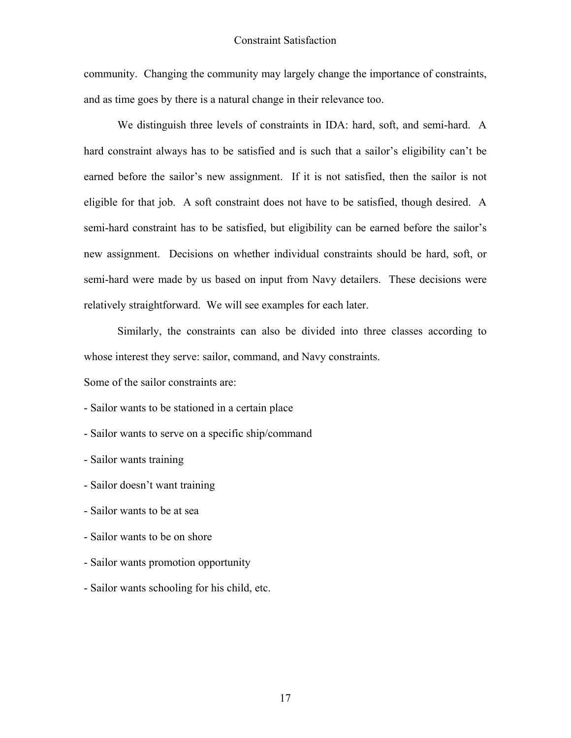community. Changing the community may largely change the importance of constraints, and as time goes by there is a natural change in their relevance too.

We distinguish three levels of constraints in IDA: hard, soft, and semi-hard. A hard constraint always has to be satisfied and is such that a sailor's eligibility can't be earned before the sailor's new assignment. If it is not satisfied, then the sailor is not eligible for that job. A soft constraint does not have to be satisfied, though desired. A semi-hard constraint has to be satisfied, but eligibility can be earned before the sailor's new assignment. Decisions on whether individual constraints should be hard, soft, or semi-hard were made by us based on input from Navy detailers. These decisions were relatively straightforward. We will see examples for each later.

Similarly, the constraints can also be divided into three classes according to whose interest they serve: sailor, command, and Navy constraints.

Some of the sailor constraints are:

- Sailor wants to be stationed in a certain place

- Sailor wants to serve on a specific ship/command

- Sailor wants training

- Sailor doesn't want training

- Sailor wants to be at sea

- Sailor wants to be on shore

- Sailor wants promotion opportunity

- Sailor wants schooling for his child, etc.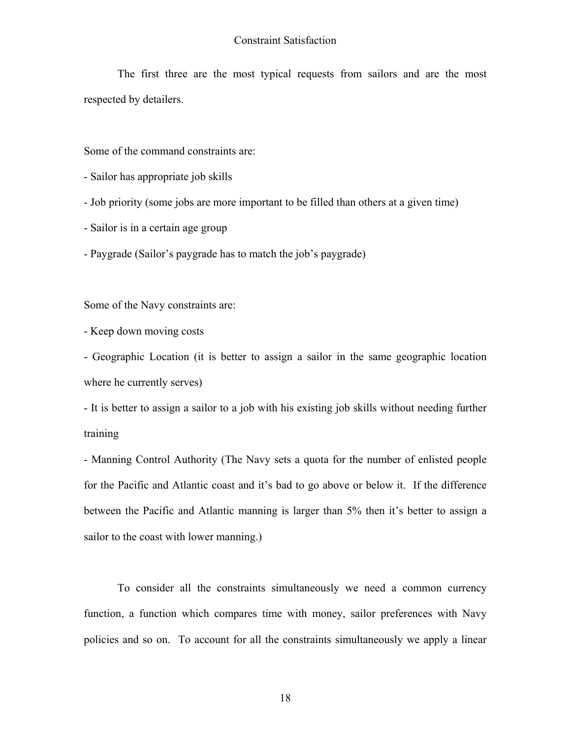The first three are the most typical requests from sailors and are the most respected by detailers.

Some of the command constraints are:

- Sailor has appropriate job skills
- Job priority (some jobs are more important to be filled than others at a given time)
- Sailor is in a certain age group
- Paygrade (Sailor's paygrade has to match the job's paygrade)

Some of the Navy constraints are:

- Keep down moving costs

- Geographic Location (it is better to assign a sailor in the same geographic location where he currently serves)

- It is better to assign a sailor to a job with his existing job skills without needing further training

- Manning Control Authority (The Navy sets a quota for the number of enlisted people for the Pacific and Atlantic coast and it's bad to go above or below it. If the difference between the Pacific and Atlantic manning is larger than 5% then it's better to assign a sailor to the coast with lower manning.)

To consider all the constraints simultaneously we need a common currency function, a function which compares time with money, sailor preferences with Navy policies and so on. To account for all the constraints simultaneously we apply a linear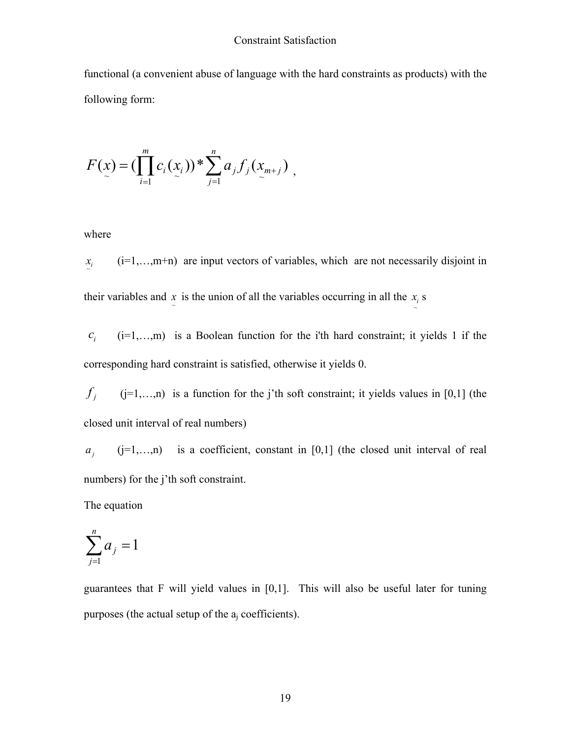functional (a convenient abuse of language with the hard constraints as products) with the following form:

$$
F(x) = (\prod_{i=1}^{m} c_i(x_i))^{*} \sum_{j=1}^{n} a_j f_j(x_{m+j}),
$$

where

 $x_i$  (i=1,…,m+n) are input vectors of variables, which are not necessarily disjoint in their variables and  $\overline{x}$  is the union of all the variables occurring in all the  $\overline{x}$  s

 $c_i$  (i=1,…,m) is a Boolean function for the i'th hard constraint; it yields 1 if the corresponding hard constraint is satisfied, otherwise it yields 0.

 $f_i$  (j=1,…,n) is a function for the j'th soft constraint; it yields values in [0,1] (the closed unit interval of real numbers)

*aj* (j=1,…,n) is a coefficient, constant in [0,1] (the closed unit interval of real numbers) for the j'th soft constraint.

The equation

$$
\sum_{j=1}^n a_j = 1
$$

guarantees that F will yield values in [0,1]. This will also be useful later for tuning purposes (the actual setup of the  $a_i$  coefficients).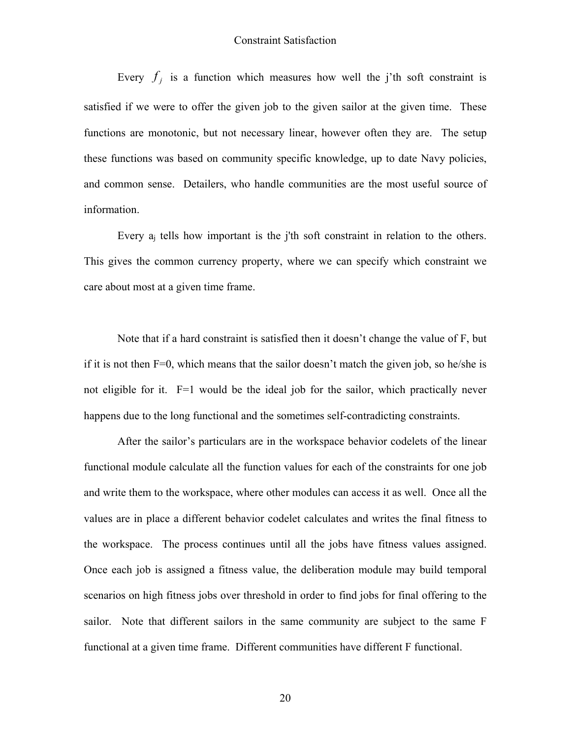Every  $f_i$  is a function which measures how well the j'th soft constraint is satisfied if we were to offer the given job to the given sailor at the given time. These functions are monotonic, but not necessary linear, however often they are. The setup these functions was based on community specific knowledge, up to date Navy policies, and common sense. Detailers, who handle communities are the most useful source of information.

Every aj tells how important is the j'th soft constraint in relation to the others. This gives the common currency property, where we can specify which constraint we care about most at a given time frame.

Note that if a hard constraint is satisfied then it doesn't change the value of F, but if it is not then  $F=0$ , which means that the sailor doesn't match the given job, so he/she is not eligible for it. F=1 would be the ideal job for the sailor, which practically never happens due to the long functional and the sometimes self-contradicting constraints.

After the sailor's particulars are in the workspace behavior codelets of the linear functional module calculate all the function values for each of the constraints for one job and write them to the workspace, where other modules can access it as well. Once all the values are in place a different behavior codelet calculates and writes the final fitness to the workspace. The process continues until all the jobs have fitness values assigned. Once each job is assigned a fitness value, the deliberation module may build temporal scenarios on high fitness jobs over threshold in order to find jobs for final offering to the sailor. Note that different sailors in the same community are subject to the same F functional at a given time frame. Different communities have different F functional.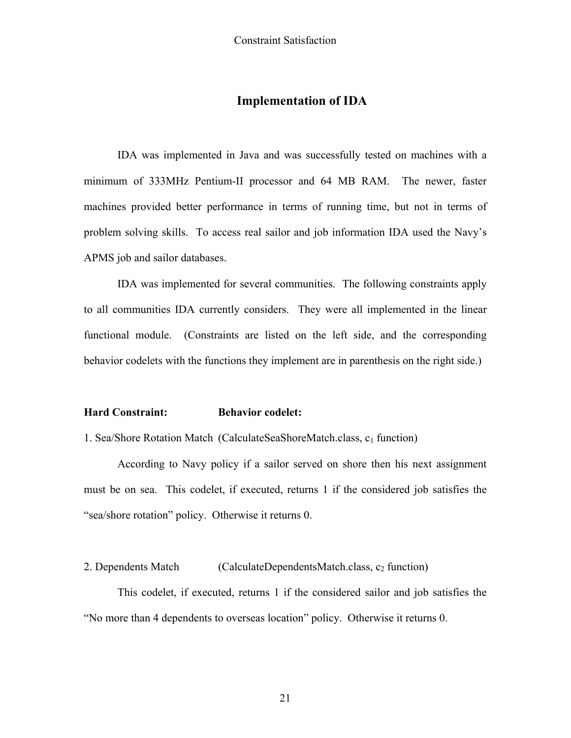## **Implementation of IDA**

IDA was implemented in Java and was successfully tested on machines with a minimum of 333MHz Pentium-II processor and 64 MB RAM. The newer, faster machines provided better performance in terms of running time, but not in terms of problem solving skills. To access real sailor and job information IDA used the Navy's APMS job and sailor databases.

IDA was implemented for several communities. The following constraints apply to all communities IDA currently considers. They were all implemented in the linear functional module. (Constraints are listed on the left side, and the corresponding behavior codelets with the functions they implement are in parenthesis on the right side.)

#### **Hard Constraint: Behavior codelet:**

1. Sea/Shore Rotation Match (CalculateSeaShoreMatch.class, c<sub>1</sub> function)

 According to Navy policy if a sailor served on shore then his next assignment must be on sea. This codelet, if executed, returns 1 if the considered job satisfies the "sea/shore rotation" policy. Otherwise it returns 0.

2. Dependents Match  $\qquad (CalculateDependentsMatch.class, c_2 function)$ 

 This codelet, if executed, returns 1 if the considered sailor and job satisfies the "No more than 4 dependents to overseas location" policy. Otherwise it returns 0.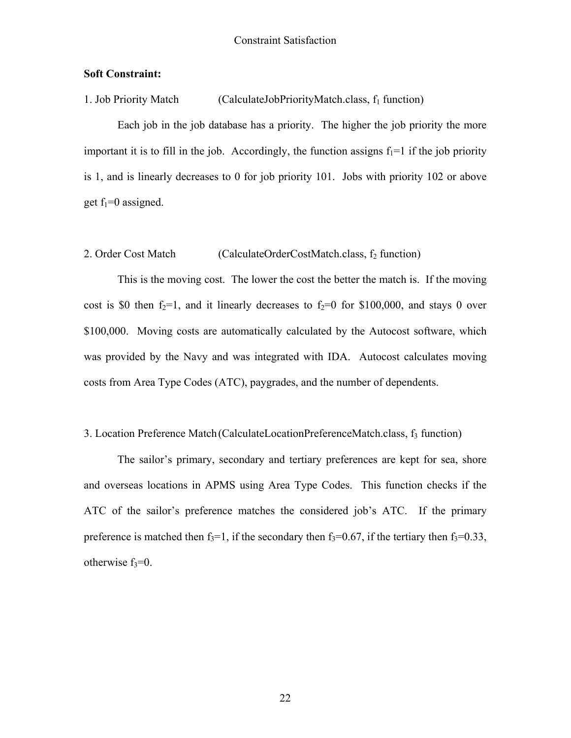#### **Soft Constraint:**

1. Job Priority Match  $(CalculateJobPriorityMatch.class, f<sub>1</sub> function)$ 

Each job in the job database has a priority. The higher the job priority the more important it is to fill in the job. Accordingly, the function assigns  $f_1=1$  if the job priority is 1, and is linearly decreases to 0 for job priority 101. Jobs with priority 102 or above get  $f_1=0$  assigned.

#### 2. Order Cost Match  $\qquad (CalculateOrderCostMatch.class, f_2 function)$

 This is the moving cost. The lower the cost the better the match is. If the moving cost is \$0 then  $f_2=1$ , and it linearly decreases to  $f_2=0$  for \$100,000, and stays 0 over \$100,000. Moving costs are automatically calculated by the Autocost software, which was provided by the Navy and was integrated with IDA. Autocost calculates moving costs from Area Type Codes (ATC), paygrades, and the number of dependents.

#### 3. Location Preference Match (CalculateLocationPreferenceMatch.class, f<sub>3</sub> function)

 The sailor's primary, secondary and tertiary preferences are kept for sea, shore and overseas locations in APMS using Area Type Codes. This function checks if the ATC of the sailor's preference matches the considered job's ATC. If the primary preference is matched then  $f_3=1$ , if the secondary then  $f_3=0.67$ , if the tertiary then  $f_3=0.33$ , otherwise  $f_3=0$ .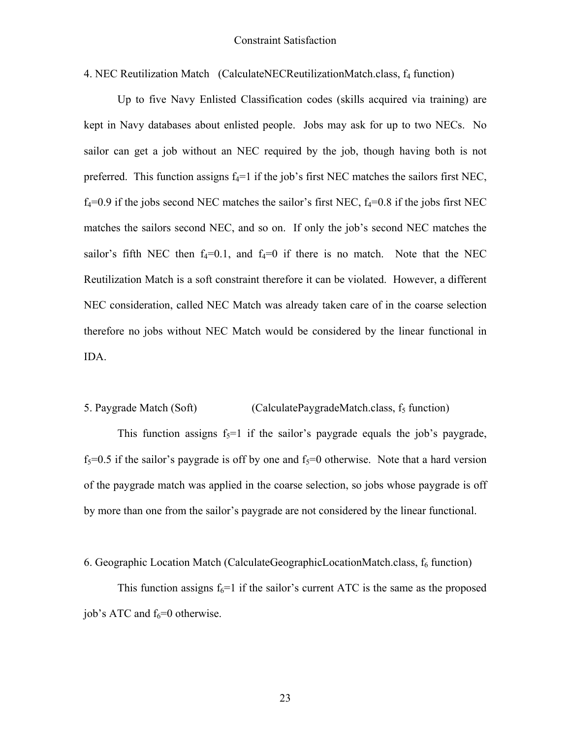4. NEC Reutilization Match (CalculateNECReutilizationMatch.class,  $f_4$  function)

Up to five Navy Enlisted Classification codes (skills acquired via training) are kept in Navy databases about enlisted people. Jobs may ask for up to two NECs. No sailor can get a job without an NEC required by the job, though having both is not preferred. This function assigns  $f_4=1$  if the job's first NEC matches the sailors first NEC,  $f_4=0.9$  if the jobs second NEC matches the sailor's first NEC,  $f_4=0.8$  if the jobs first NEC matches the sailors second NEC, and so on. If only the job's second NEC matches the sailor's fifth NEC then  $f_4=0.1$ , and  $f_4=0$  if there is no match. Note that the NEC Reutilization Match is a soft constraint therefore it can be violated. However, a different NEC consideration, called NEC Match was already taken care of in the coarse selection therefore no jobs without NEC Match would be considered by the linear functional in IDA.

#### 5. Paygrade Match (Soft)  $\qquad \qquad$  (CalculatePaygradeMatch.class,  $f_5$  function)

This function assigns  $f_5=1$  if the sailor's paygrade equals the job's paygrade,  $f_5=0.5$  if the sailor's paygrade is off by one and  $f_5=0$  otherwise. Note that a hard version of the paygrade match was applied in the coarse selection, so jobs whose paygrade is off by more than one from the sailor's paygrade are not considered by the linear functional.

6. Geographic Location Match (CalculateGeographicLocationMatch.class,  $f_6$  function)

This function assigns  $f_6=1$  if the sailor's current ATC is the same as the proposed job's ATC and  $f_6=0$  otherwise.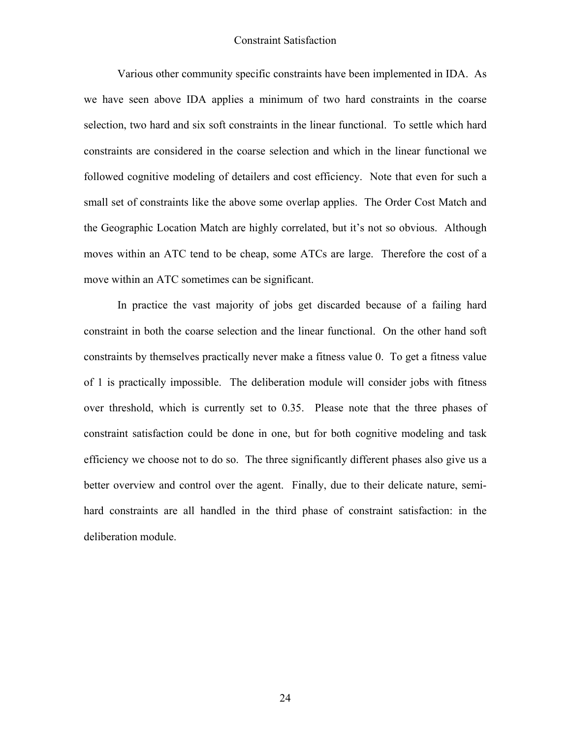Various other community specific constraints have been implemented in IDA. As we have seen above IDA applies a minimum of two hard constraints in the coarse selection, two hard and six soft constraints in the linear functional. To settle which hard constraints are considered in the coarse selection and which in the linear functional we followed cognitive modeling of detailers and cost efficiency. Note that even for such a small set of constraints like the above some overlap applies. The Order Cost Match and the Geographic Location Match are highly correlated, but it's not so obvious. Although moves within an ATC tend to be cheap, some ATCs are large. Therefore the cost of a move within an ATC sometimes can be significant.

In practice the vast majority of jobs get discarded because of a failing hard constraint in both the coarse selection and the linear functional. On the other hand soft constraints by themselves practically never make a fitness value 0. To get a fitness value of 1 is practically impossible. The deliberation module will consider jobs with fitness over threshold, which is currently set to 0.35. Please note that the three phases of constraint satisfaction could be done in one, but for both cognitive modeling and task efficiency we choose not to do so. The three significantly different phases also give us a better overview and control over the agent. Finally, due to their delicate nature, semihard constraints are all handled in the third phase of constraint satisfaction: in the deliberation module.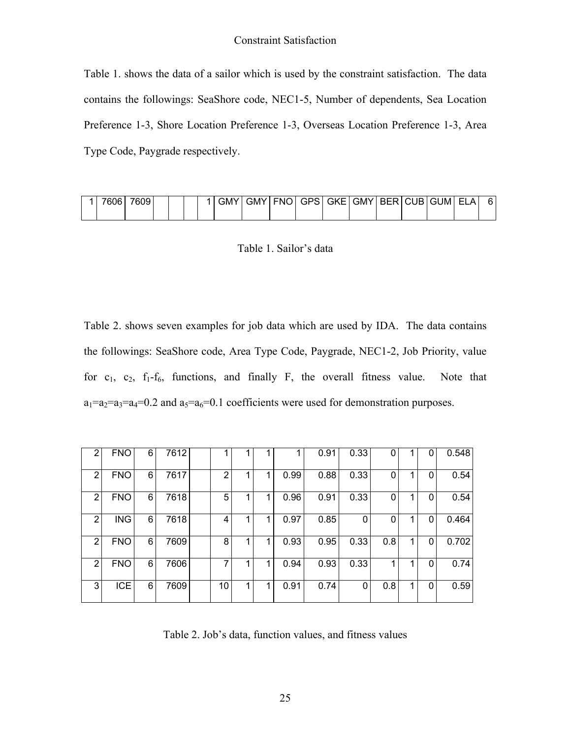Table 1. shows the data of a sailor which is used by the constraint satisfaction. The data contains the followings: SeaShore code, NEC1-5, Number of dependents, Sea Location Preference 1-3, Shore Location Preference 1-3, Overseas Location Preference 1-3, Area Type Code, Paygrade respectively.

| 7606 | 7609 |  |  | <b>GMY</b> | <b>GMY</b> | <b>FNO</b> | <b>GPS</b> | GKE I | GMY BERIC |  | CUB GUM | <b>ELA</b> |  |
|------|------|--|--|------------|------------|------------|------------|-------|-----------|--|---------|------------|--|
|      |      |  |  |            |            |            |            |       |           |  |         |            |  |

Table 1. Sailor's data

Table 2. shows seven examples for job data which are used by IDA. The data contains the followings: SeaShore code, Area Type Code, Paygrade, NEC1-2, Job Priority, value for  $c_1$ ,  $c_2$ ,  $f_1-f_6$ , functions, and finally F, the overall fitness value. Note that  $a_1=a_2=a_3=a_4=0.2$  and  $a_5=a_6=0.1$  coefficients were used for demonstration purposes.

| 2 | <b>FNO</b> | 6 | 7612 |    |   |   |      | 0.91 | 0.33 |     |    | 0 | 0.548 |
|---|------------|---|------|----|---|---|------|------|------|-----|----|---|-------|
| 2 | <b>FNO</b> | 6 | 7617 | 2  |   | 4 | 0.99 | 0.88 | 0.33 | 0   |    | 0 | 0.54  |
| 2 | <b>FNO</b> | 6 | 7618 | 5  |   |   | 0.96 | 0.91 | 0.33 | 0   |    | 0 | 0.54  |
| 2 | ING        | 6 | 7618 | 4  | и | 4 | 0.97 | 0.85 | 0    |     |    | 0 | 0.464 |
| 2 | <b>FNO</b> | 6 | 7609 | 8  |   |   | 0.93 | 0.95 | 0.33 | 0.8 | -1 | 0 | 0.702 |
| 2 | <b>FNO</b> | 6 | 7606 |    |   |   | 0.94 | 0.93 | 0.33 |     |    | 0 | 0.74  |
| 3 | <b>ICE</b> | 6 | 7609 | 10 | и |   | 0.91 | 0.74 | 0    | 0.8 |    | 0 | 0.59  |

Table 2. Job's data, function values, and fitness values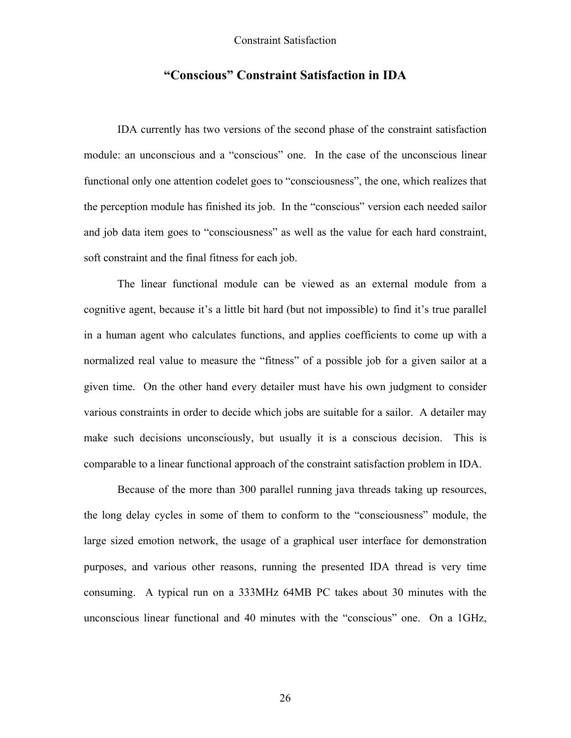## **"Conscious" Constraint Satisfaction in IDA**

IDA currently has two versions of the second phase of the constraint satisfaction module: an unconscious and a "conscious" one. In the case of the unconscious linear functional only one attention codelet goes to "consciousness", the one, which realizes that the perception module has finished its job. In the "conscious" version each needed sailor and job data item goes to "consciousness" as well as the value for each hard constraint, soft constraint and the final fitness for each job.

The linear functional module can be viewed as an external module from a cognitive agent, because it's a little bit hard (but not impossible) to find it's true parallel in a human agent who calculates functions, and applies coefficients to come up with a normalized real value to measure the "fitness" of a possible job for a given sailor at a given time. On the other hand every detailer must have his own judgment to consider various constraints in order to decide which jobs are suitable for a sailor. A detailer may make such decisions unconsciously, but usually it is a conscious decision. This is comparable to a linear functional approach of the constraint satisfaction problem in IDA.

Because of the more than 300 parallel running java threads taking up resources, the long delay cycles in some of them to conform to the "consciousness" module, the large sized emotion network, the usage of a graphical user interface for demonstration purposes, and various other reasons, running the presented IDA thread is very time consuming. A typical run on a 333MHz 64MB PC takes about 30 minutes with the unconscious linear functional and 40 minutes with the "conscious" one. On a 1GHz,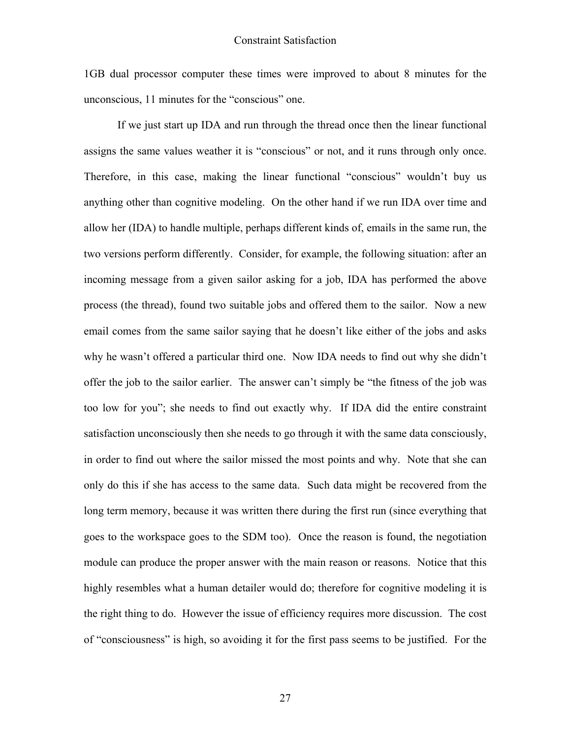1GB dual processor computer these times were improved to about 8 minutes for the unconscious, 11 minutes for the "conscious" one.

If we just start up IDA and run through the thread once then the linear functional assigns the same values weather it is "conscious" or not, and it runs through only once. Therefore, in this case, making the linear functional "conscious" wouldn't buy us anything other than cognitive modeling. On the other hand if we run IDA over time and allow her (IDA) to handle multiple, perhaps different kinds of, emails in the same run, the two versions perform differently. Consider, for example, the following situation: after an incoming message from a given sailor asking for a job, IDA has performed the above process (the thread), found two suitable jobs and offered them to the sailor. Now a new email comes from the same sailor saying that he doesn't like either of the jobs and asks why he wasn't offered a particular third one. Now IDA needs to find out why she didn't offer the job to the sailor earlier. The answer can't simply be "the fitness of the job was too low for you"; she needs to find out exactly why. If IDA did the entire constraint satisfaction unconsciously then she needs to go through it with the same data consciously, in order to find out where the sailor missed the most points and why. Note that she can only do this if she has access to the same data. Such data might be recovered from the long term memory, because it was written there during the first run (since everything that goes to the workspace goes to the SDM too). Once the reason is found, the negotiation module can produce the proper answer with the main reason or reasons. Notice that this highly resembles what a human detailer would do; therefore for cognitive modeling it is the right thing to do. However the issue of efficiency requires more discussion. The cost of "consciousness" is high, so avoiding it for the first pass seems to be justified. For the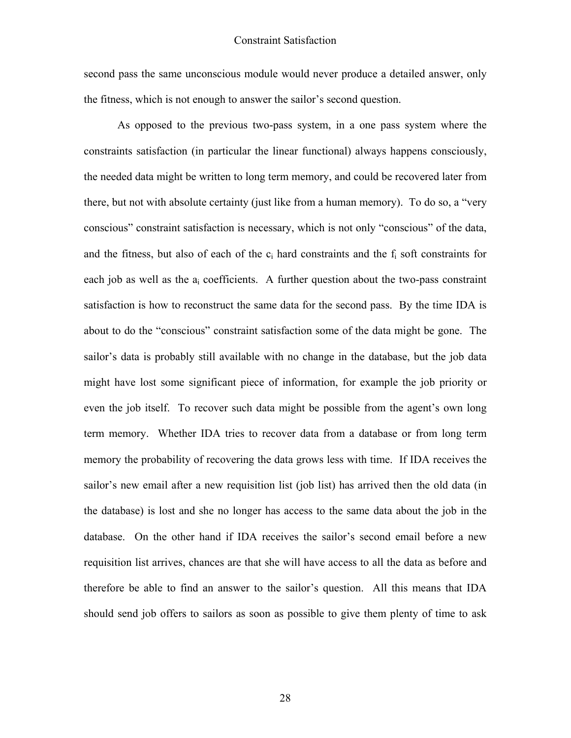second pass the same unconscious module would never produce a detailed answer, only the fitness, which is not enough to answer the sailor's second question.

As opposed to the previous two-pass system, in a one pass system where the constraints satisfaction (in particular the linear functional) always happens consciously, the needed data might be written to long term memory, and could be recovered later from there, but not with absolute certainty (just like from a human memory). To do so, a "very conscious" constraint satisfaction is necessary, which is not only "conscious" of the data, and the fitness, but also of each of the  $c_i$  hard constraints and the  $f_i$  soft constraints for each job as well as the  $a_i$  coefficients. A further question about the two-pass constraint satisfaction is how to reconstruct the same data for the second pass. By the time IDA is about to do the "conscious" constraint satisfaction some of the data might be gone. The sailor's data is probably still available with no change in the database, but the job data might have lost some significant piece of information, for example the job priority or even the job itself. To recover such data might be possible from the agent's own long term memory. Whether IDA tries to recover data from a database or from long term memory the probability of recovering the data grows less with time. If IDA receives the sailor's new email after a new requisition list (job list) has arrived then the old data (in the database) is lost and she no longer has access to the same data about the job in the database. On the other hand if IDA receives the sailor's second email before a new requisition list arrives, chances are that she will have access to all the data as before and therefore be able to find an answer to the sailor's question. All this means that IDA should send job offers to sailors as soon as possible to give them plenty of time to ask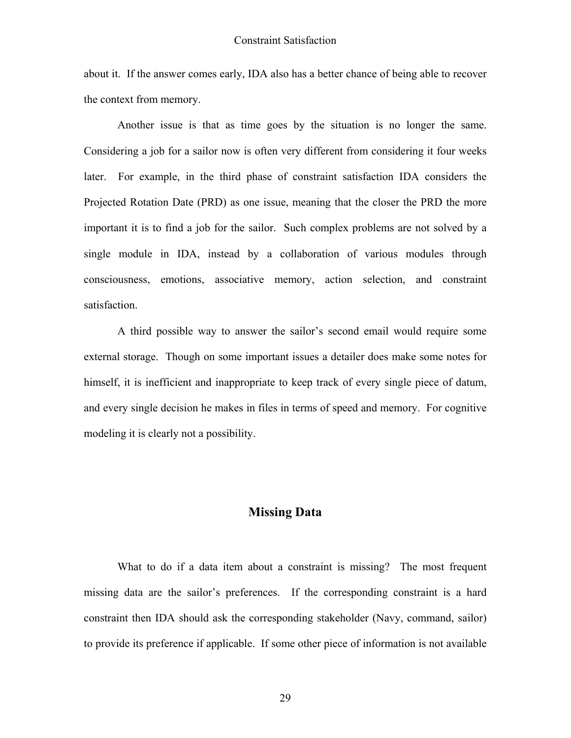about it. If the answer comes early, IDA also has a better chance of being able to recover the context from memory.

Another issue is that as time goes by the situation is no longer the same. Considering a job for a sailor now is often very different from considering it four weeks later. For example, in the third phase of constraint satisfaction IDA considers the Projected Rotation Date (PRD) as one issue, meaning that the closer the PRD the more important it is to find a job for the sailor. Such complex problems are not solved by a single module in IDA, instead by a collaboration of various modules through consciousness, emotions, associative memory, action selection, and constraint satisfaction.

A third possible way to answer the sailor's second email would require some external storage. Though on some important issues a detailer does make some notes for himself, it is inefficient and inappropriate to keep track of every single piece of datum, and every single decision he makes in files in terms of speed and memory. For cognitive modeling it is clearly not a possibility.

### **Missing Data**

What to do if a data item about a constraint is missing? The most frequent missing data are the sailor's preferences. If the corresponding constraint is a hard constraint then IDA should ask the corresponding stakeholder (Navy, command, sailor) to provide its preference if applicable. If some other piece of information is not available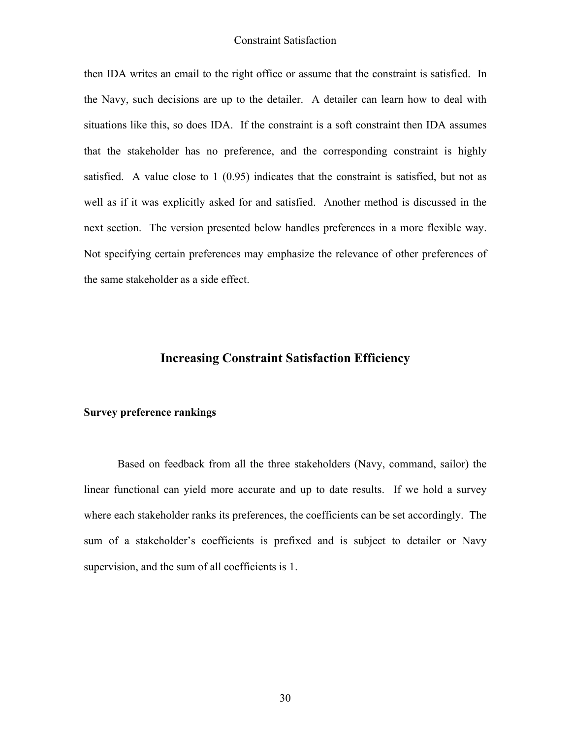then IDA writes an email to the right office or assume that the constraint is satisfied. In the Navy, such decisions are up to the detailer. A detailer can learn how to deal with situations like this, so does IDA. If the constraint is a soft constraint then IDA assumes that the stakeholder has no preference, and the corresponding constraint is highly satisfied. A value close to 1 (0.95) indicates that the constraint is satisfied, but not as well as if it was explicitly asked for and satisfied. Another method is discussed in the next section. The version presented below handles preferences in a more flexible way. Not specifying certain preferences may emphasize the relevance of other preferences of the same stakeholder as a side effect.

### **Increasing Constraint Satisfaction Efficiency**

#### **Survey preference rankings**

Based on feedback from all the three stakeholders (Navy, command, sailor) the linear functional can yield more accurate and up to date results. If we hold a survey where each stakeholder ranks its preferences, the coefficients can be set accordingly. The sum of a stakeholder's coefficients is prefixed and is subject to detailer or Navy supervision, and the sum of all coefficients is 1.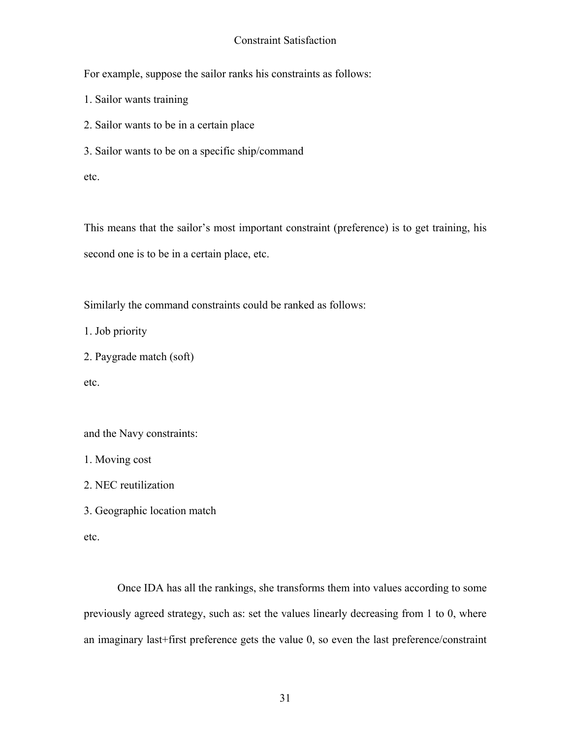For example, suppose the sailor ranks his constraints as follows:

1. Sailor wants training

2. Sailor wants to be in a certain place

3. Sailor wants to be on a specific ship/command

etc.

This means that the sailor's most important constraint (preference) is to get training, his second one is to be in a certain place, etc.

Similarly the command constraints could be ranked as follows:

1. Job priority

```
2. Paygrade match (soft)
```
etc.

and the Navy constraints:

1. Moving cost

2. NEC reutilization

3. Geographic location match

etc.

Once IDA has all the rankings, she transforms them into values according to some previously agreed strategy, such as: set the values linearly decreasing from 1 to 0, where an imaginary last+first preference gets the value 0, so even the last preference/constraint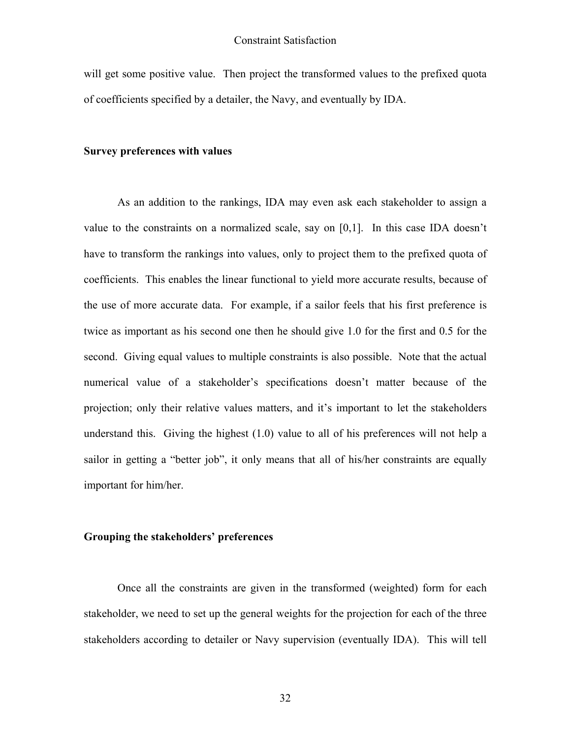will get some positive value. Then project the transformed values to the prefixed quota of coefficients specified by a detailer, the Navy, and eventually by IDA.

#### **Survey preferences with values**

As an addition to the rankings, IDA may even ask each stakeholder to assign a value to the constraints on a normalized scale, say on [0,1]. In this case IDA doesn't have to transform the rankings into values, only to project them to the prefixed quota of coefficients. This enables the linear functional to yield more accurate results, because of the use of more accurate data. For example, if a sailor feels that his first preference is twice as important as his second one then he should give 1.0 for the first and 0.5 for the second. Giving equal values to multiple constraints is also possible. Note that the actual numerical value of a stakeholder's specifications doesn't matter because of the projection; only their relative values matters, and it's important to let the stakeholders understand this. Giving the highest (1.0) value to all of his preferences will not help a sailor in getting a "better job", it only means that all of his/her constraints are equally important for him/her.

#### **Grouping the stakeholders' preferences**

Once all the constraints are given in the transformed (weighted) form for each stakeholder, we need to set up the general weights for the projection for each of the three stakeholders according to detailer or Navy supervision (eventually IDA). This will tell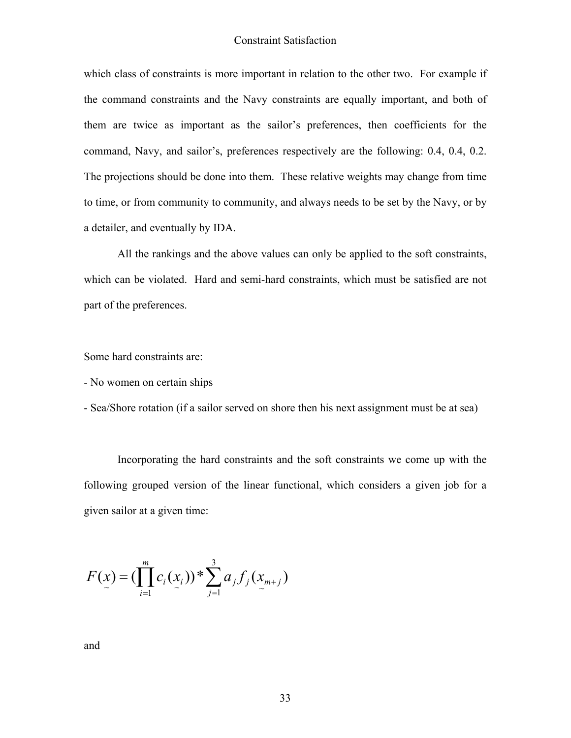which class of constraints is more important in relation to the other two. For example if the command constraints and the Navy constraints are equally important, and both of them are twice as important as the sailor's preferences, then coefficients for the command, Navy, and sailor's, preferences respectively are the following: 0.4, 0.4, 0.2. The projections should be done into them. These relative weights may change from time to time, or from community to community, and always needs to be set by the Navy, or by a detailer, and eventually by IDA.

All the rankings and the above values can only be applied to the soft constraints, which can be violated. Hard and semi-hard constraints, which must be satisfied are not part of the preferences.

Some hard constraints are:

- No women on certain ships

- Sea/Shore rotation (if a sailor served on shore then his next assignment must be at sea)

Incorporating the hard constraints and the soft constraints we come up with the following grouped version of the linear functional, which considers a given job for a given sailor at a given time:

$$
F(x) = (\prod_{i=1}^{m} c_i(x_i)) \cdot \sum_{j=1}^{3} a_j f_j(x_{m+j})
$$

and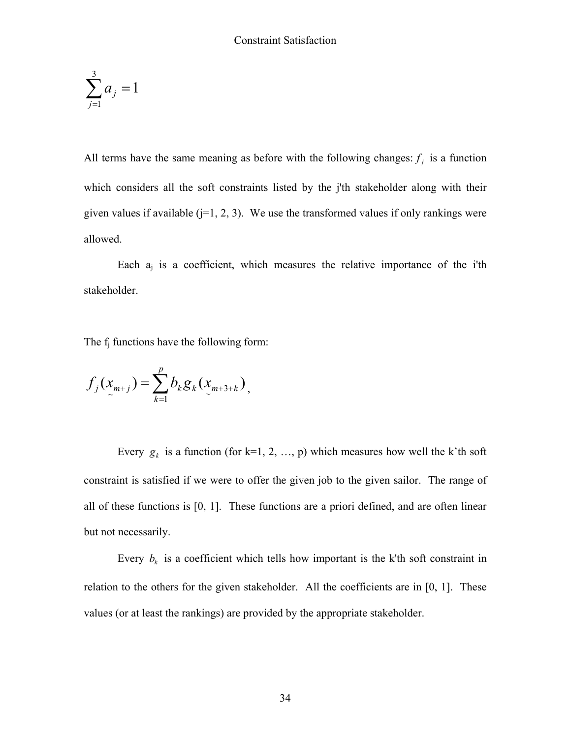$$
\sum_{j=1}^3 a_j = 1
$$

All terms have the same meaning as before with the following changes:  $f_i$  is a function which considers all the soft constraints listed by the j'th stakeholder along with their given values if available  $(i=1, 2, 3)$ . We use the transformed values if only rankings were allowed.

Each  $a_i$  is a coefficient, which measures the relative importance of the i'th stakeholder.

The f<sub>i</sub> functions have the following form:

$$
f_j(x_{m+j}) = \sum_{k=1}^p b_k g_k(x_{m+3+k}),
$$

Every  $g_k$  is a function (for k=1, 2, ..., p) which measures how well the k'th soft constraint is satisfied if we were to offer the given job to the given sailor. The range of all of these functions is [0, 1]. These functions are a priori defined, and are often linear but not necessarily.

Every  $b_k$  is a coefficient which tells how important is the k'th soft constraint in relation to the others for the given stakeholder. All the coefficients are in [0, 1]. These values (or at least the rankings) are provided by the appropriate stakeholder.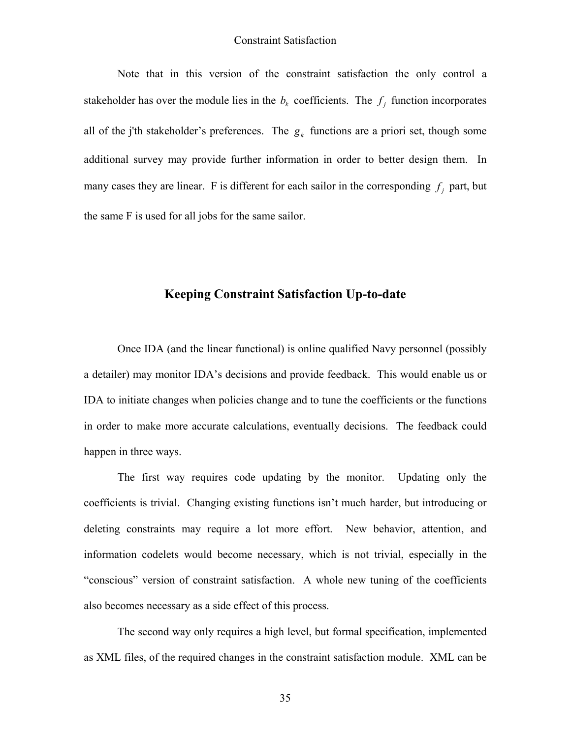Note that in this version of the constraint satisfaction the only control a stakeholder has over the module lies in the  $b_k$  coefficients. The  $f_j$  function incorporates all of the j'th stakeholder's preferences. The  $g_k$  functions are a priori set, though some additional survey may provide further information in order to better design them. In many cases they are linear. F is different for each sailor in the corresponding  $f_i$  part, but the same F is used for all jobs for the same sailor.

## **Keeping Constraint Satisfaction Up-to-date**

Once IDA (and the linear functional) is online qualified Navy personnel (possibly a detailer) may monitor IDA's decisions and provide feedback. This would enable us or IDA to initiate changes when policies change and to tune the coefficients or the functions in order to make more accurate calculations, eventually decisions. The feedback could happen in three ways.

The first way requires code updating by the monitor. Updating only the coefficients is trivial. Changing existing functions isn't much harder, but introducing or deleting constraints may require a lot more effort. New behavior, attention, and information codelets would become necessary, which is not trivial, especially in the "conscious" version of constraint satisfaction. A whole new tuning of the coefficients also becomes necessary as a side effect of this process.

The second way only requires a high level, but formal specification, implemented as XML files, of the required changes in the constraint satisfaction module. XML can be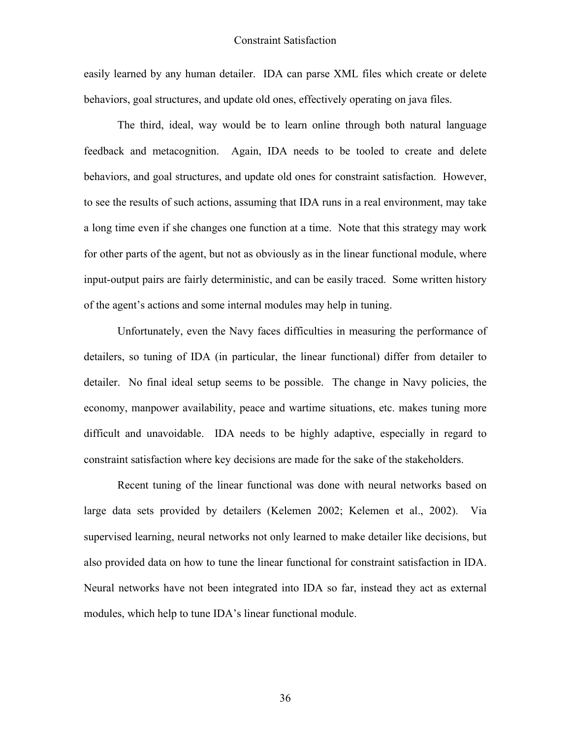easily learned by any human detailer. IDA can parse XML files which create or delete behaviors, goal structures, and update old ones, effectively operating on java files.

The third, ideal, way would be to learn online through both natural language feedback and metacognition. Again, IDA needs to be tooled to create and delete behaviors, and goal structures, and update old ones for constraint satisfaction. However, to see the results of such actions, assuming that IDA runs in a real environment, may take a long time even if she changes one function at a time. Note that this strategy may work for other parts of the agent, but not as obviously as in the linear functional module, where input-output pairs are fairly deterministic, and can be easily traced. Some written history of the agent's actions and some internal modules may help in tuning.

Unfortunately, even the Navy faces difficulties in measuring the performance of detailers, so tuning of IDA (in particular, the linear functional) differ from detailer to detailer. No final ideal setup seems to be possible. The change in Navy policies, the economy, manpower availability, peace and wartime situations, etc. makes tuning more difficult and unavoidable. IDA needs to be highly adaptive, especially in regard to constraint satisfaction where key decisions are made for the sake of the stakeholders.

Recent tuning of the linear functional was done with neural networks based on large data sets provided by detailers (Kelemen 2002; Kelemen et al., 2002). Via supervised learning, neural networks not only learned to make detailer like decisions, but also provided data on how to tune the linear functional for constraint satisfaction in IDA. Neural networks have not been integrated into IDA so far, instead they act as external modules, which help to tune IDA's linear functional module.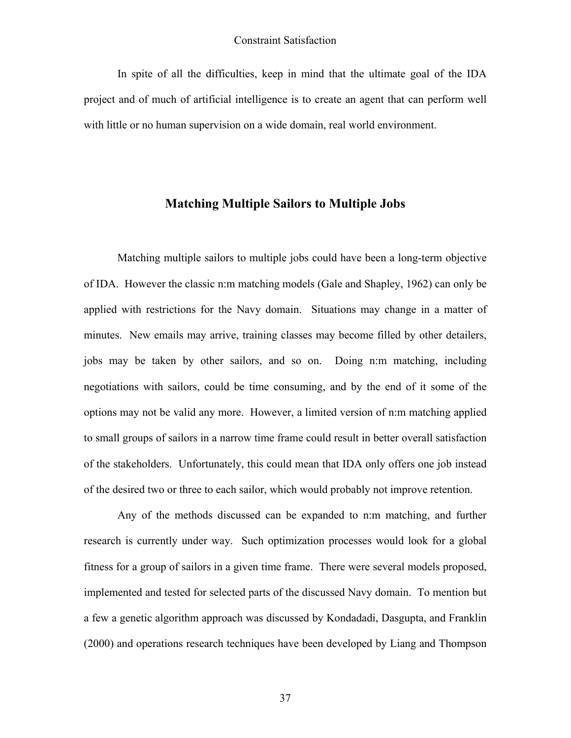In spite of all the difficulties, keep in mind that the ultimate goal of the IDA project and of much of artificial intelligence is to create an agent that can perform well with little or no human supervision on a wide domain, real world environment.

## **Matching Multiple Sailors to Multiple Jobs**

Matching multiple sailors to multiple jobs could have been a long-term objective of IDA. However the classic n:m matching models (Gale and Shapley, 1962) can only be applied with restrictions for the Navy domain. Situations may change in a matter of minutes. New emails may arrive, training classes may become filled by other detailers, jobs may be taken by other sailors, and so on. Doing n:m matching, including negotiations with sailors, could be time consuming, and by the end of it some of the options may not be valid any more. However, a limited version of n:m matching applied to small groups of sailors in a narrow time frame could result in better overall satisfaction of the stakeholders. Unfortunately, this could mean that IDA only offers one job instead of the desired two or three to each sailor, which would probably not improve retention.

Any of the methods discussed can be expanded to n:m matching, and further research is currently under way. Such optimization processes would look for a global fitness for a group of sailors in a given time frame. There were several models proposed, implemented and tested for selected parts of the discussed Navy domain. To mention but a few a genetic algorithm approach was discussed by Kondadadi, Dasgupta, and Franklin (2000) and operations research techniques have been developed by Liang and Thompson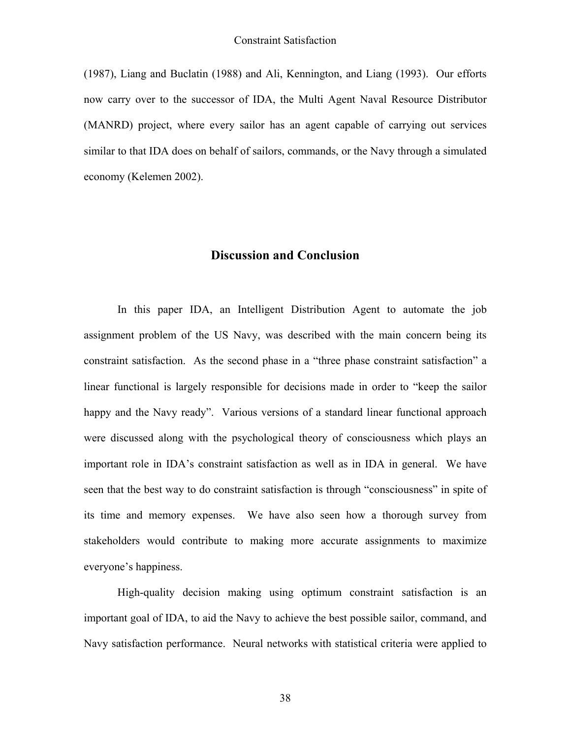(1987), Liang and Buclatin (1988) and Ali, Kennington, and Liang (1993). Our efforts now carry over to the successor of IDA, the Multi Agent Naval Resource Distributor (MANRD) project, where every sailor has an agent capable of carrying out services similar to that IDA does on behalf of sailors, commands, or the Navy through a simulated economy (Kelemen 2002).

#### **Discussion and Conclusion**

In this paper IDA, an Intelligent Distribution Agent to automate the job assignment problem of the US Navy, was described with the main concern being its constraint satisfaction. As the second phase in a "three phase constraint satisfaction" a linear functional is largely responsible for decisions made in order to "keep the sailor happy and the Navy ready". Various versions of a standard linear functional approach were discussed along with the psychological theory of consciousness which plays an important role in IDA's constraint satisfaction as well as in IDA in general. We have seen that the best way to do constraint satisfaction is through "consciousness" in spite of its time and memory expenses. We have also seen how a thorough survey from stakeholders would contribute to making more accurate assignments to maximize everyone's happiness.

High-quality decision making using optimum constraint satisfaction is an important goal of IDA, to aid the Navy to achieve the best possible sailor, command, and Navy satisfaction performance. Neural networks with statistical criteria were applied to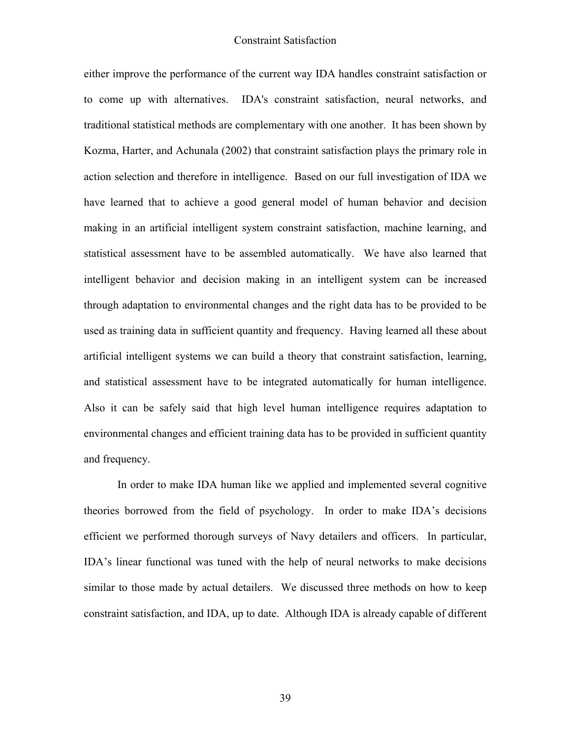either improve the performance of the current way IDA handles constraint satisfaction or to come up with alternatives. IDA's constraint satisfaction, neural networks, and traditional statistical methods are complementary with one another. It has been shown by Kozma, Harter, and Achunala (2002) that constraint satisfaction plays the primary role in action selection and therefore in intelligence. Based on our full investigation of IDA we have learned that to achieve a good general model of human behavior and decision making in an artificial intelligent system constraint satisfaction, machine learning, and statistical assessment have to be assembled automatically. We have also learned that intelligent behavior and decision making in an intelligent system can be increased through adaptation to environmental changes and the right data has to be provided to be used as training data in sufficient quantity and frequency. Having learned all these about artificial intelligent systems we can build a theory that constraint satisfaction, learning, and statistical assessment have to be integrated automatically for human intelligence. Also it can be safely said that high level human intelligence requires adaptation to environmental changes and efficient training data has to be provided in sufficient quantity and frequency.

In order to make IDA human like we applied and implemented several cognitive theories borrowed from the field of psychology. In order to make IDA's decisions efficient we performed thorough surveys of Navy detailers and officers. In particular, IDA's linear functional was tuned with the help of neural networks to make decisions similar to those made by actual detailers. We discussed three methods on how to keep constraint satisfaction, and IDA, up to date. Although IDA is already capable of different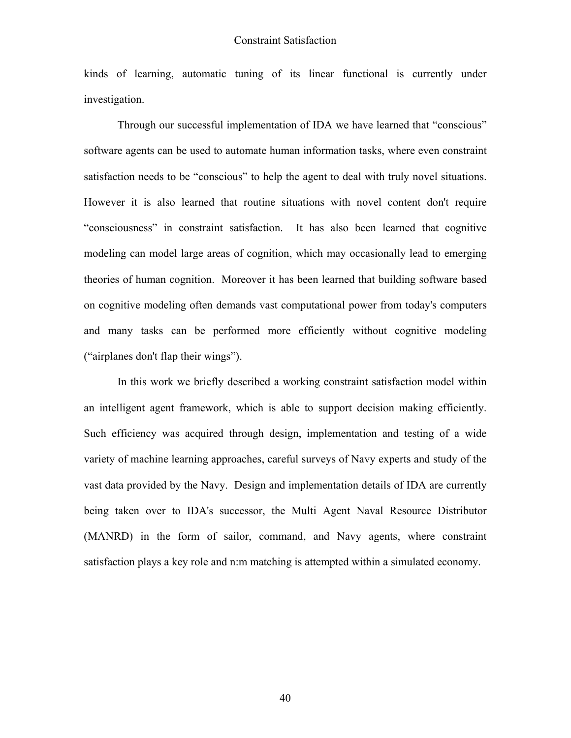kinds of learning, automatic tuning of its linear functional is currently under investigation.

Through our successful implementation of IDA we have learned that "conscious" software agents can be used to automate human information tasks, where even constraint satisfaction needs to be "conscious" to help the agent to deal with truly novel situations. However it is also learned that routine situations with novel content don't require "consciousness" in constraint satisfaction. It has also been learned that cognitive modeling can model large areas of cognition, which may occasionally lead to emerging theories of human cognition. Moreover it has been learned that building software based on cognitive modeling often demands vast computational power from today's computers and many tasks can be performed more efficiently without cognitive modeling ("airplanes don't flap their wings").

In this work we briefly described a working constraint satisfaction model within an intelligent agent framework, which is able to support decision making efficiently. Such efficiency was acquired through design, implementation and testing of a wide variety of machine learning approaches, careful surveys of Navy experts and study of the vast data provided by the Navy. Design and implementation details of IDA are currently being taken over to IDA's successor, the Multi Agent Naval Resource Distributor (MANRD) in the form of sailor, command, and Navy agents, where constraint satisfaction plays a key role and n:m matching is attempted within a simulated economy.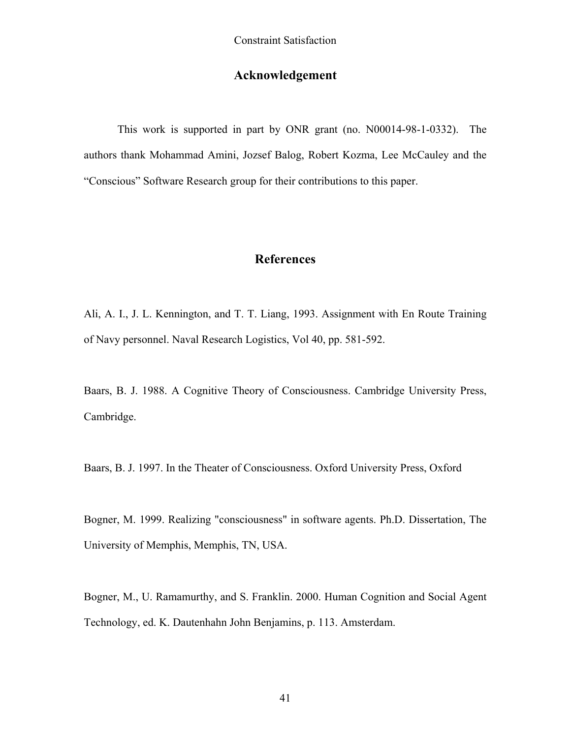## **Acknowledgement**

This work is supported in part by ONR grant (no. N00014-98-1-0332). The authors thank Mohammad Amini, Jozsef Balog, Robert Kozma, Lee McCauley and the "Conscious" Software Research group for their contributions to this paper.

## **References**

Ali, A. I., J. L. Kennington, and T. T. Liang, 1993. Assignment with En Route Training of Navy personnel. Naval Research Logistics, Vol 40, pp. 581-592.

Baars, B. J. 1988. A Cognitive Theory of Consciousness. Cambridge University Press, Cambridge.

Baars, B. J. 1997. In the Theater of Consciousness. Oxford University Press, Oxford

Bogner, M. 1999. Realizing "consciousness" in software agents. Ph.D. Dissertation, The University of Memphis, Memphis, TN, USA.

Bogner, M., U. Ramamurthy, and S. Franklin. 2000. Human Cognition and Social Agent Technology, ed. K. Dautenhahn John Benjamins, p. 113. Amsterdam.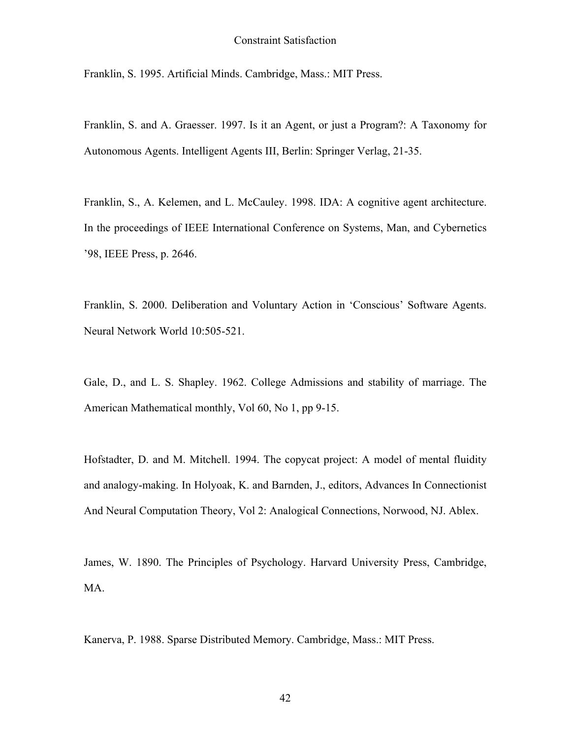Franklin, S. 1995. Artificial Minds. Cambridge, Mass.: MIT Press.

Franklin, S. and A. Graesser. 1997. Is it an Agent, or just a Program?: A Taxonomy for Autonomous Agents. Intelligent Agents III, Berlin: Springer Verlag, 21-35.

Franklin, S., A. Kelemen, and L. McCauley. 1998. IDA: A cognitive agent architecture. In the proceedings of IEEE International Conference on Systems, Man, and Cybernetics '98, IEEE Press, p. 2646.

Franklin, S. 2000. Deliberation and Voluntary Action in 'Conscious' Software Agents. Neural Network World 10:505-521.

Gale, D., and L. S. Shapley. 1962. College Admissions and stability of marriage. The American Mathematical monthly, Vol 60, No 1, pp 9-15.

Hofstadter, D. and M. Mitchell. 1994. The copycat project: A model of mental fluidity and analogy-making. In Holyoak, K. and Barnden, J., editors, Advances In Connectionist And Neural Computation Theory, Vol 2: Analogical Connections, Norwood, NJ. Ablex.

James, W. 1890. The Principles of Psychology. Harvard University Press, Cambridge, MA.

Kanerva, P. 1988. Sparse Distributed Memory. Cambridge, Mass.: MIT Press.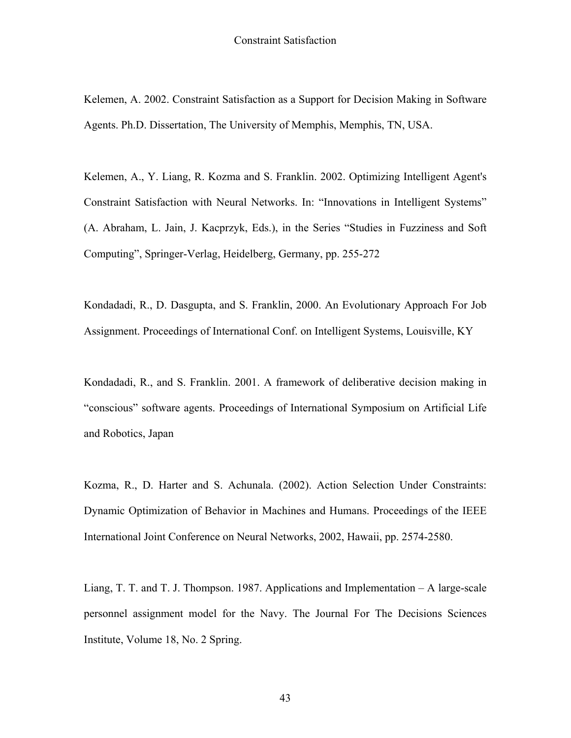Kelemen, A. 2002. Constraint Satisfaction as a Support for Decision Making in Software Agents. Ph.D. Dissertation, The University of Memphis, Memphis, TN, USA.

Kelemen, A., Y. Liang, R. Kozma and S. Franklin. 2002. Optimizing Intelligent Agent's Constraint Satisfaction with Neural Networks. In: "Innovations in Intelligent Systems" (A. Abraham, L. Jain, J. Kacprzyk, Eds.), in the Series "Studies in Fuzziness and Soft Computing", Springer-Verlag, Heidelberg, Germany, pp. 255-272

Kondadadi, R., D. Dasgupta, and S. Franklin, 2000. An Evolutionary Approach For Job Assignment. Proceedings of International Conf. on Intelligent Systems, Louisville, KY

Kondadadi, R., and S. Franklin. 2001. A framework of deliberative decision making in "conscious" software agents. Proceedings of International Symposium on Artificial Life and Robotics, Japan

Kozma, R., D. Harter and S. Achunala. (2002). Action Selection Under Constraints: Dynamic Optimization of Behavior in Machines and Humans. Proceedings of the IEEE International Joint Conference on Neural Networks, 2002, Hawaii, pp. 2574-2580.

Liang, T. T. and T. J. Thompson. 1987. Applications and Implementation – A large-scale personnel assignment model for the Navy. The Journal For The Decisions Sciences Institute, Volume 18, No. 2 Spring.